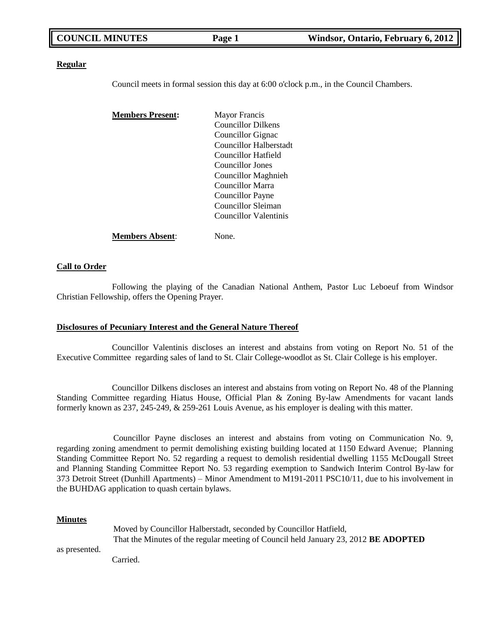| <b>COUNCIL MINUTES</b> | Page 1 | Windsor, Ontario, February 6, 2012 |
|------------------------|--------|------------------------------------|
|                        |        |                                    |

#### **Regular**

Council meets in formal session this day at 6:00 o'clock p.m., in the Council Chambers.

| <b>Members Present:</b> | <b>Mayor Francis</b>      |  |
|-------------------------|---------------------------|--|
|                         | <b>Councillor Dilkens</b> |  |
|                         | Councillor Gignac         |  |
|                         | Councillor Halberstadt    |  |
|                         | Councillor Hatfield       |  |
|                         | Councillor Jones          |  |
|                         | Councillor Maghnieh       |  |
|                         | <b>Councillor Marra</b>   |  |
|                         | Councillor Payne          |  |
|                         | Councillor Sleiman        |  |
|                         | Councillor Valentinis     |  |
| Members Absent:         | None.                     |  |

#### **Call to Order**

Following the playing of the Canadian National Anthem, Pastor Luc Leboeuf from Windsor Christian Fellowship, offers the Opening Prayer.

#### **Disclosures of Pecuniary Interest and the General Nature Thereof**

Councillor Valentinis discloses an interest and abstains from voting on Report No. 51 of the Executive Committee regarding sales of land to St. Clair College-woodlot as St. Clair College is his employer.

Councillor Dilkens discloses an interest and abstains from voting on Report No. 48 of the Planning Standing Committee regarding Hiatus House, Official Plan & Zoning By-law Amendments for vacant lands formerly known as 237, 245-249, & 259-261 Louis Avenue, as his employer is dealing with this matter.

Councillor Payne discloses an interest and abstains from voting on Communication No. 9, regarding zoning amendment to permit demolishing existing building located at 1150 Edward Avenue; Planning Standing Committee Report No. 52 regarding a request to demolish residential dwelling 1155 McDougall Street and Planning Standing Committee Report No. 53 regarding exemption to Sandwich Interim Control By-law for 373 Detroit Street (Dunhill Apartments) – Minor Amendment to M191-2011 PSC10/11, due to his involvement in the BUHDAG application to quash certain bylaws.

#### **Minutes**

|               | Moved by Councillor Halberstadt, seconded by Councillor Hatfield,                          |
|---------------|--------------------------------------------------------------------------------------------|
|               | That the Minutes of the regular meeting of Council held January 23, 2012 <b>BE ADOPTED</b> |
| as presented. |                                                                                            |
|               | Carried.                                                                                   |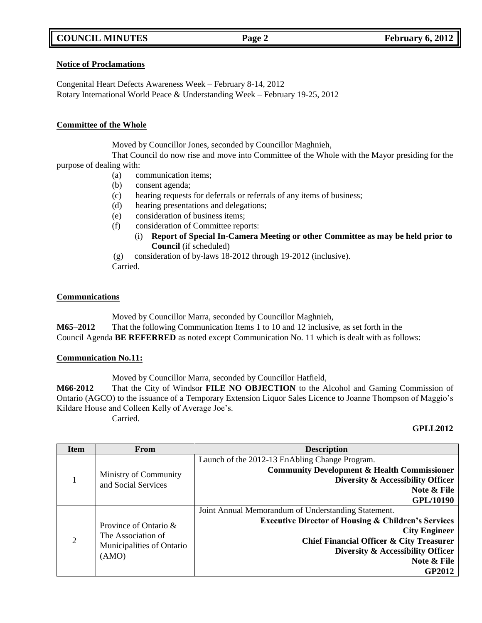## **COUNCIL MINUTES Page 2 February 6, 2012**

### **Notice of Proclamations**

Congenital Heart Defects Awareness Week – February 8-14, 2012 Rotary International World Peace & Understanding Week – February 19-25, 2012

### **Committee of the Whole**

Moved by Councillor Jones, seconded by Councillor Maghnieh,

That Council do now rise and move into Committee of the Whole with the Mayor presiding for the purpose of dealing with:

- (a) communication items;
- (b) consent agenda;
- (c) hearing requests for deferrals or referrals of any items of business;
- (d) hearing presentations and delegations;
- (e) consideration of business items;
- (f) consideration of Committee reports:
	- (i) **Report of Special In-Camera Meeting or other Committee as may be held prior to Council** (if scheduled)
- (g) consideration of by-laws 18-2012 through 19-2012 (inclusive).

Carried.

## **Communications**

Moved by Councillor Marra, seconded by Councillor Maghnieh,

**M65–2012** That the following Communication Items 1 to 10 and 12 inclusive, as set forth in the Council Agenda **BE REFERRED** as noted except Communication No. 11 which is dealt with as follows:

### **Communication No.11:**

Moved by Councillor Marra, seconded by Councillor Hatfield,

**M66-2012** That the City of Windsor **FILE NO OBJECTION** to the Alcohol and Gaming Commission of Ontario (AGCO) to the issuance of a Temporary Extension Liquor Sales Licence to Joanne Thompson of Maggio"s Kildare House and Colleen Kelly of Average Joe"s.

Carried.

### **GPLL2012**

| <b>Item</b>    | From                                                                              | <b>Description</b>                                                                                                                                                                                                                                                        |
|----------------|-----------------------------------------------------------------------------------|---------------------------------------------------------------------------------------------------------------------------------------------------------------------------------------------------------------------------------------------------------------------------|
|                | Ministry of Community<br>and Social Services                                      | Launch of the 2012-13 EnAbling Change Program.<br><b>Community Development &amp; Health Commissioner</b><br>Diversity & Accessibility Officer<br>Note & File<br><b>GPL/10190</b>                                                                                          |
| $\overline{2}$ | Province of Ontario &<br>The Association of<br>Municipalities of Ontario<br>(AMO) | Joint Annual Memorandum of Understanding Statement.<br><b>Executive Director of Housing &amp; Children's Services</b><br><b>City Engineer</b><br><b>Chief Financial Officer &amp; City Treasurer</b><br>Diversity & Accessibility Officer<br>Note & File<br><b>GP2012</b> |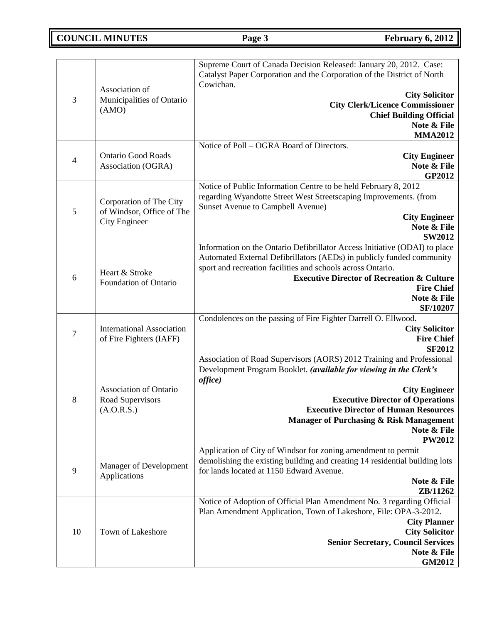# **COUNCIL MINUTES Page 3 February 6, 2012**

| 3              | Association of<br>Municipalities of Ontario<br>(AMO)                         | Supreme Court of Canada Decision Released: January 20, 2012. Case:<br>Catalyst Paper Corporation and the Corporation of the District of North<br>Cowichan.<br><b>City Solicitor</b><br><b>City Clerk/Licence Commissioner</b><br><b>Chief Building Official</b><br>Note & File<br><b>MMA2012</b>                                                                |
|----------------|------------------------------------------------------------------------------|-----------------------------------------------------------------------------------------------------------------------------------------------------------------------------------------------------------------------------------------------------------------------------------------------------------------------------------------------------------------|
| $\overline{4}$ | <b>Ontario Good Roads</b><br>Association (OGRA)                              | Notice of Poll – OGRA Board of Directors.<br><b>City Engineer</b><br>Note & File<br><b>GP2012</b>                                                                                                                                                                                                                                                               |
| 5              | Corporation of The City<br>of Windsor, Office of The<br><b>City Engineer</b> | Notice of Public Information Centre to be held February 8, 2012<br>regarding Wyandotte Street West Streetscaping Improvements. (from<br>Sunset Avenue to Campbell Avenue)<br><b>City Engineer</b><br>Note & File<br><b>SW2012</b>                                                                                                                               |
| 6              | Heart & Stroke<br>Foundation of Ontario                                      | Information on the Ontario Defibrillator Access Initiative (ODAI) to place<br>Automated External Defibrillators (AEDs) in publicly funded community<br>sport and recreation facilities and schools across Ontario.<br><b>Executive Director of Recreation &amp; Culture</b><br><b>Fire Chief</b><br>Note & File<br><b>SF/10207</b>                              |
| $\tau$         | <b>International Association</b><br>of Fire Fighters (IAFF)                  | Condolences on the passing of Fire Fighter Darrell O. Ellwood.<br><b>City Solicitor</b><br><b>Fire Chief</b><br><b>SF2012</b>                                                                                                                                                                                                                                   |
| 8              | Association of Ontario<br>Road Supervisors<br>(A.O.R.S.)                     | Association of Road Supervisors (AORS) 2012 Training and Professional<br>Development Program Booklet. (available for viewing in the Clerk's<br>office)<br><b>City Engineer</b><br><b>Executive Director of Operations</b><br><b>Executive Director of Human Resources</b><br><b>Manager of Purchasing &amp; Risk Management</b><br>Note & File<br><b>PW2012</b> |
| 9              | Manager of Development<br>Applications                                       | Application of City of Windsor for zoning amendment to permit<br>demolishing the existing building and creating 14 residential building lots<br>for lands located at 1150 Edward Avenue.<br>Note & File<br>ZB/11262                                                                                                                                             |
| 10             | Town of Lakeshore                                                            | Notice of Adoption of Official Plan Amendment No. 3 regarding Official<br>Plan Amendment Application, Town of Lakeshore, File: OPA-3-2012.<br><b>City Planner</b><br><b>City Solicitor</b><br><b>Senior Secretary, Council Services</b><br>Note & File<br><b>GM2012</b>                                                                                         |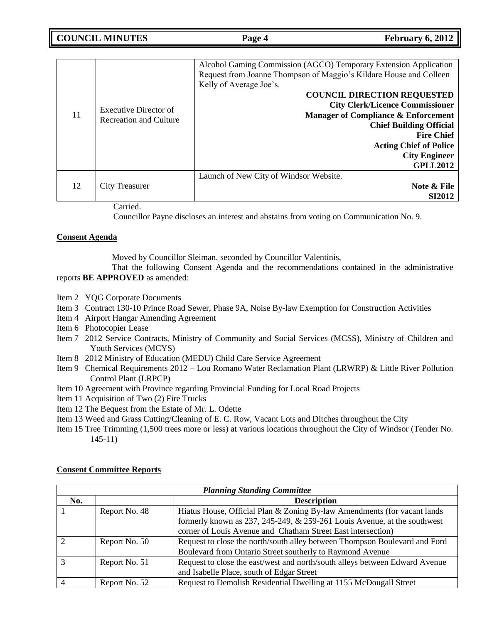**COUNCIL MINUTES Page 4 February 6, 2012**

| 11 | <b>Executive Director of</b><br><b>Recreation and Culture</b> | Alcohol Gaming Commission (AGCO) Temporary Extension Application<br>Request from Joanne Thompson of Maggio's Kildare House and Colleen<br>Kelly of Average Joe's.<br><b>COUNCIL DIRECTION REQUESTED</b><br><b>City Clerk/Licence Commissioner</b><br><b>Manager of Compliance &amp; Enforcement</b><br><b>Chief Building Official</b><br><b>Fire Chief</b><br><b>Acting Chief of Police</b><br><b>City Engineer</b><br><b>GPLL2012</b> |
|----|---------------------------------------------------------------|----------------------------------------------------------------------------------------------------------------------------------------------------------------------------------------------------------------------------------------------------------------------------------------------------------------------------------------------------------------------------------------------------------------------------------------|
| 12 | City Treasurer                                                | Launch of New City of Windsor Website.<br>Note & File<br><b>SI2012</b>                                                                                                                                                                                                                                                                                                                                                                 |
|    | Carried.                                                      |                                                                                                                                                                                                                                                                                                                                                                                                                                        |

Councillor Payne discloses an interest and abstains from voting on Communication No. 9.

### **Consent Agenda**

Moved by Councillor Sleiman, seconded by Councillor Valentinis,

That the following Consent Agenda and the recommendations contained in the administrative reports **BE APPROVED** as amended:

- Item 2 YQG Corporate Documents
- Item 3 Contract 130-10 Prince Road Sewer, Phase 9A, Noise By-law Exemption for Construction Activities
- Item 4 Airport Hangar Amending Agreement
- Item 6 Photocopier Lease
- Item 7 2012 Service Contracts, Ministry of Community and Social Services (MCSS), Ministry of Children and Youth Services (MCYS)
- Item 8 2012 Ministry of Education (MEDU) Child Care Service Agreement
- Item 9 Chemical Requirements 2012 Lou Romano Water Reclamation Plant (LRWRP) & Little River Pollution Control Plant (LRPCP)
- Item 10 Agreement with Province regarding Provincial Funding for Local Road Projects
- Item 11 Acquisition of Two (2) Fire Trucks
- Item 12 The Bequest from the Estate of Mr. L. Odette
- Item 13 Weed and Grass Cutting/Cleaning of E. C. Row, Vacant Lots and Ditches throughout the City
- Item 15 Tree Trimming (1,500 trees more or less) at various locations throughout the City of Windsor (Tender No. 145-11)

| <b>Planning Standing Committee</b> |               |                                                                                  |
|------------------------------------|---------------|----------------------------------------------------------------------------------|
| No.                                |               | <b>Description</b>                                                               |
|                                    | Report No. 48 | Hiatus House, Official Plan & Zoning By-law Amendments (for vacant lands         |
|                                    |               | formerly known as $237$ , $245-249$ , & $259-261$ Louis Avenue, at the southwest |
|                                    |               | corner of Louis Avenue and Chatham Street East intersection)                     |
|                                    | Report No. 50 | Request to close the north/south alley between Thompson Boulevard and Ford       |
|                                    |               | Boulevard from Ontario Street southerly to Raymond Avenue                        |
|                                    | Report No. 51 | Request to close the east/west and north/south alleys between Edward Avenue      |
|                                    |               | and Isabelle Place, south of Edgar Street                                        |
|                                    | Report No. 52 | Request to Demolish Residential Dwelling at 1155 McDougall Street                |

### **Consent Committee Reports**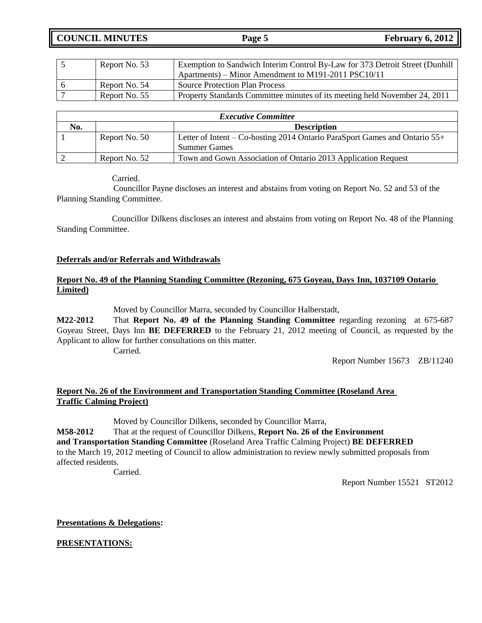**COUNCIL MINUTES Page 5 February 6, 2012**

| Report No. 53 | Exemption to Sandwich Interim Control By-Law for 373 Detroit Street (Dunhill |
|---------------|------------------------------------------------------------------------------|
|               | Apartments) – Minor Amendment to M191-2011 PSC10/11                          |
| Report No. 54 | <b>Source Protection Plan Process</b>                                        |
| Report No. 55 | Property Standards Committee minutes of its meeting held November 24, 2011   |

| <b>Executive Committee</b> |                    |                                                                            |
|----------------------------|--------------------|----------------------------------------------------------------------------|
| No.                        | <b>Description</b> |                                                                            |
|                            | Report No. 50      | Letter of Intent – Co-hosting 2014 Ontario ParaSport Games and Ontario 55+ |
|                            |                    | <b>Summer Games</b>                                                        |
|                            | Report No. 52      | Town and Gown Association of Ontario 2013 Application Request              |

Carried.

Councillor Payne discloses an interest and abstains from voting on Report No. 52 and 53 of the Planning Standing Committee.

Councillor Dilkens discloses an interest and abstains from voting on Report No. 48 of the Planning Standing Committee.

### **Deferrals and/or Referrals and Withdrawals**

## **Report No. 49 of the Planning Standing Committee (Rezoning, 675 Goyeau, Days Inn, 1037109 Ontario Limited)**

Moved by Councillor Marra, seconded by Councillor Halberstadt,

**M22-2012** That **Report No. 49 of the Planning Standing Committee** regarding rezoning at 675-687 Goyeau Street, Days Inn **BE DEFERRED** to the February 21, 2012 meeting of Council, as requested by the Applicant to allow for further consultations on this matter.

Carried.

Report Number 15673 ZB/11240

## **Report No. 26 of the Environment and Transportation Standing Committee (Roseland Area Traffic Calming Project)**

Moved by Councillor Dilkens, seconded by Councillor Marra,

**M58-2012** That at the request of Councillor Dilkens, **Report No. 26 of the Environment and Transportation Standing Committee** (Roseland Area Traffic Calming Project) **BE DEFERRED** to the March 19, 2012 meeting of Council to allow administration to review newly submitted proposals from affected residents.

Carried.

Report Number 15521 ST2012

## **Presentations & Delegations:**

**PRESENTATIONS:**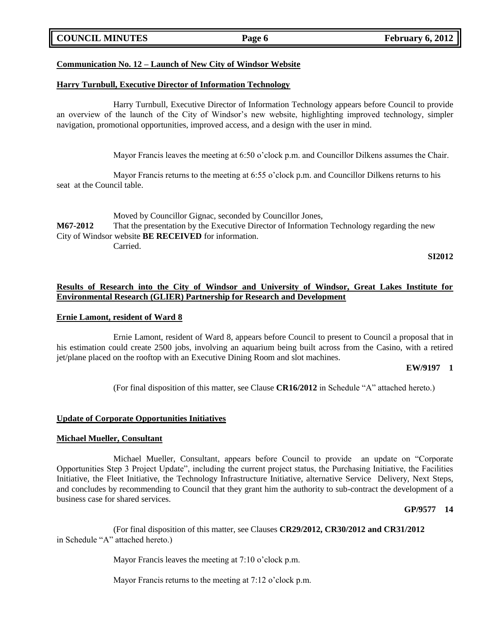### **COUNCIL MINUTES Page 6 February 6, 2012**

### **Communication No. 12 – Launch of New City of Windsor Website**

#### **Harry Turnbull, Executive Director of Information Technology**

Harry Turnbull, Executive Director of Information Technology appears before Council to provide an overview of the launch of the City of Windsor"s new website, highlighting improved technology, simpler navigation, promotional opportunities, improved access, and a design with the user in mind.

Mayor Francis leaves the meeting at 6:50 o'clock p.m. and Councillor Dilkens assumes the Chair.

Mayor Francis returns to the meeting at 6:55 o'clock p.m. and Councillor Dilkens returns to his seat at the Council table.

Moved by Councillor Gignac, seconded by Councillor Jones, **M67-2012** That the presentation by the Executive Director of Information Technology regarding the new City of Windsor website **BE RECEIVED** for information. Carried.

**SI2012**

### **Results of Research into the City of Windsor and University of Windsor, Great Lakes Institute for Environmental Research (GLIER) Partnership for Research and Development**

#### **Ernie Lamont, resident of Ward 8**

Ernie Lamont, resident of Ward 8, appears before Council to present to Council a proposal that in his estimation could create 2500 jobs, involving an aquarium being built across from the Casino, with a retired jet/plane placed on the rooftop with an Executive Dining Room and slot machines.

#### **EW/9197 1**

(For final disposition of this matter, see Clause **CR16/2012** in Schedule "A" attached hereto.)

#### **Update of Corporate Opportunities Initiatives**

#### **Michael Mueller, Consultant**

Michael Mueller, Consultant, appears before Council to provide an update on "Corporate Opportunities Step 3 Project Update", including the current project status, the Purchasing Initiative, the Facilities Initiative, the Fleet Initiative, the Technology Infrastructure Initiative, alternative Service Delivery, Next Steps, and concludes by recommending to Council that they grant him the authority to sub-contract the development of a business case for shared services.

#### **GP/9577 14**

(For final disposition of this matter, see Clauses **CR29/2012, CR30/2012 and CR31/2012** in Schedule "A" attached hereto.)

Mayor Francis leaves the meeting at 7:10 o'clock p.m.

Mayor Francis returns to the meeting at 7:12 o'clock p.m.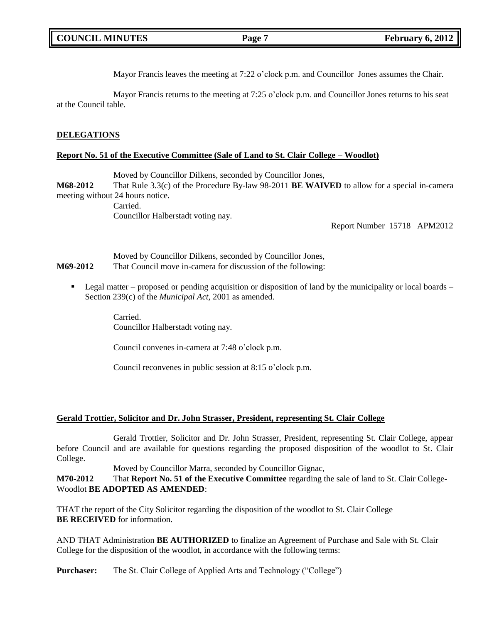|  | <b>COUNCIL MINUTES</b> |
|--|------------------------|
|--|------------------------|

Mayor Francis leaves the meeting at 7:22 o'clock p.m. and Councillor Jones assumes the Chair.

Mayor Francis returns to the meeting at 7:25 o'clock p.m. and Councillor Jones returns to his seat at the Council table.

### **DELEGATIONS**

#### **Report No. 51 of the Executive Committee (Sale of Land to St. Clair College – Woodlot)**

Moved by Councillor Dilkens, seconded by Councillor Jones,

**M68-2012** That Rule 3.3(c) of the Procedure By-law 98-2011 **BE WAIVED** to allow for a special in-camera meeting without 24 hours notice.

> Carried. Councillor Halberstadt voting nay.

> > Report Number 15718 APM2012

Moved by Councillor Dilkens, seconded by Councillor Jones, **M69-2012** That Council move in-camera for discussion of the following:

 $\blacksquare$  Legal matter – proposed or pending acquisition or disposition of land by the municipality or local boards – Section 239(c) of the *Municipal Act*, 2001 as amended.

> Carried. Councillor Halberstadt voting nay.

Council convenes in-camera at 7:48 o'clock p.m.

Council reconvenes in public session at 8:15 o"clock p.m.

#### **Gerald Trottier, Solicitor and Dr. John Strasser, President, representing St. Clair College**

Gerald Trottier, Solicitor and Dr. John Strasser, President, representing St. Clair College, appear before Council and are available for questions regarding the proposed disposition of the woodlot to St. Clair College.

Moved by Councillor Marra, seconded by Councillor Gignac,

**M70-2012** That **Report No. 51 of the Executive Committee** regarding the sale of land to St. Clair College-Woodlot **BE ADOPTED AS AMENDED**:

THAT the report of the City Solicitor regarding the disposition of the woodlot to St. Clair College **BE RECEIVED** for information.

AND THAT Administration **BE AUTHORIZED** to finalize an Agreement of Purchase and Sale with St. Clair College for the disposition of the woodlot, in accordance with the following terms:

**Purchaser:** The St. Clair College of Applied Arts and Technology ("College")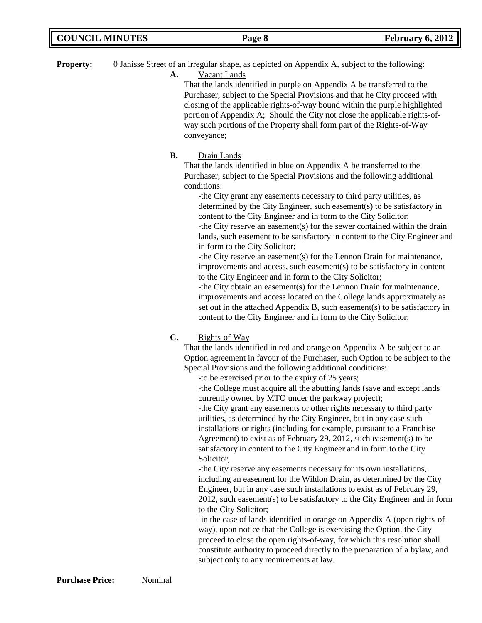| <b>COUNCIL MINUTES</b><br><b>February 6, 2012</b><br>Page 8 |  |
|-------------------------------------------------------------|--|
|-------------------------------------------------------------|--|

**Property:** 0 Janisse Street of an irregular shape, as depicted on Appendix A, subject to the following:

**A.** Vacant Lands

That the lands identified in purple on Appendix A be transferred to the Purchaser, subject to the Special Provisions and that he City proceed with closing of the applicable rights-of-way bound within the purple highlighted portion of Appendix A; Should the City not close the applicable rights-ofway such portions of the Property shall form part of the Rights-of-Way conveyance;

## **B.** Drain Lands

That the lands identified in blue on Appendix A be transferred to the Purchaser, subject to the Special Provisions and the following additional conditions:

-the City grant any easements necessary to third party utilities, as determined by the City Engineer, such easement(s) to be satisfactory in content to the City Engineer and in form to the City Solicitor; -the City reserve an easement(s) for the sewer contained within the drain lands, such easement to be satisfactory in content to the City Engineer and in form to the City Solicitor;

-the City reserve an easement(s) for the Lennon Drain for maintenance, improvements and access, such easement(s) to be satisfactory in content to the City Engineer and in form to the City Solicitor;

-the City obtain an easement(s) for the Lennon Drain for maintenance, improvements and access located on the College lands approximately as set out in the attached Appendix B, such easement(s) to be satisfactory in content to the City Engineer and in form to the City Solicitor;

## **C.** Rights-of-Way

That the lands identified in red and orange on Appendix A be subject to an Option agreement in favour of the Purchaser, such Option to be subject to the Special Provisions and the following additional conditions:

-to be exercised prior to the expiry of 25 years;

-the College must acquire all the abutting lands (save and except lands currently owned by MTO under the parkway project);

-the City grant any easements or other rights necessary to third party utilities, as determined by the City Engineer, but in any case such installations or rights (including for example, pursuant to a Franchise Agreement) to exist as of February 29, 2012, such easement(s) to be satisfactory in content to the City Engineer and in form to the City Solicitor;

-the City reserve any easements necessary for its own installations, including an easement for the Wildon Drain, as determined by the City Engineer, but in any case such installations to exist as of February 29, 2012, such easement(s) to be satisfactory to the City Engineer and in form to the City Solicitor;

-in the case of lands identified in orange on Appendix A (open rights-ofway), upon notice that the College is exercising the Option, the City proceed to close the open rights-of-way, for which this resolution shall constitute authority to proceed directly to the preparation of a bylaw, and subject only to any requirements at law.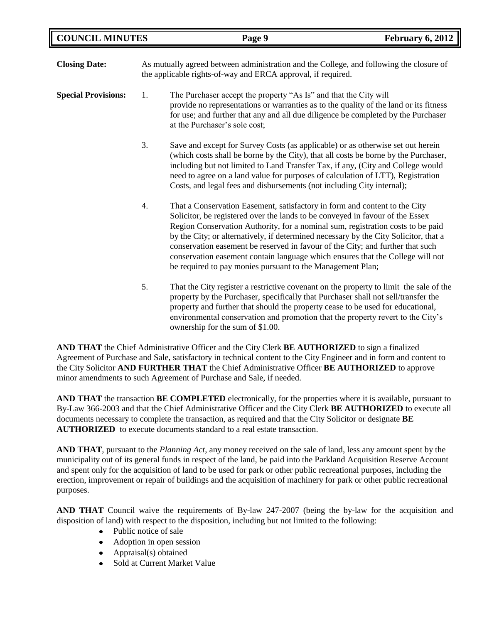| <b>Closing Date:</b>       | As mutually agreed between administration and the College, and following the closure of<br>the applicable rights-of-way and ERCA approval, if required. |                                                                                                                                                                                                                                                                                                                                                                                                                                                                                                                                                                          |
|----------------------------|---------------------------------------------------------------------------------------------------------------------------------------------------------|--------------------------------------------------------------------------------------------------------------------------------------------------------------------------------------------------------------------------------------------------------------------------------------------------------------------------------------------------------------------------------------------------------------------------------------------------------------------------------------------------------------------------------------------------------------------------|
| <b>Special Provisions:</b> | 1.                                                                                                                                                      | The Purchaser accept the property "As Is" and that the City will<br>provide no representations or warranties as to the quality of the land or its fitness<br>for use; and further that any and all due diligence be completed by the Purchaser<br>at the Purchaser's sole cost;                                                                                                                                                                                                                                                                                          |
|                            | 3.                                                                                                                                                      | Save and except for Survey Costs (as applicable) or as otherwise set out herein<br>(which costs shall be borne by the City), that all costs be borne by the Purchaser,<br>including but not limited to Land Transfer Tax, if any, (City and College would<br>need to agree on a land value for purposes of calculation of LTT), Registration<br>Costs, and legal fees and disbursements (not including City internal);                                                                                                                                                   |
|                            | 4.                                                                                                                                                      | That a Conservation Easement, satisfactory in form and content to the City<br>Solicitor, be registered over the lands to be conveyed in favour of the Essex<br>Region Conservation Authority, for a nominal sum, registration costs to be paid<br>by the City; or alternatively, if determined necessary by the City Solicitor, that a<br>conservation easement be reserved in favour of the City; and further that such<br>conservation easement contain language which ensures that the College will not<br>be required to pay monies pursuant to the Management Plan; |
|                            | 5.                                                                                                                                                      | That the City register a restrictive covenant on the property to limit the sale of the<br>property by the Purchaser, specifically that Purchaser shall not sell/transfer the<br>property and further that should the property cease to be used for educational,<br>environmental conservation and promotion that the property revert to the City's<br>ownership for the sum of \$1.00.                                                                                                                                                                                   |

**AND THAT** the Chief Administrative Officer and the City Clerk **BE AUTHORIZED** to sign a finalized Agreement of Purchase and Sale, satisfactory in technical content to the City Engineer and in form and content to the City Solicitor **AND FURTHER THAT** the Chief Administrative Officer **BE AUTHORIZED** to approve minor amendments to such Agreement of Purchase and Sale, if needed.

**AND THAT** the transaction **BE COMPLETED** electronically, for the properties where it is available, pursuant to By-Law 366-2003 and that the Chief Administrative Officer and the City Clerk **BE AUTHORIZED** to execute all documents necessary to complete the transaction, as required and that the City Solicitor or designate **BE AUTHORIZED** to execute documents standard to a real estate transaction.

**AND THAT**, pursuant to the *Planning Act*, any money received on the sale of land, less any amount spent by the municipality out of its general funds in respect of the land, be paid into the Parkland Acquisition Reserve Account and spent only for the acquisition of land to be used for park or other public recreational purposes, including the erection, improvement or repair of buildings and the acquisition of machinery for park or other public recreational purposes.

**AND THAT** Council waive the requirements of By-law 247-2007 (being the by-law for the acquisition and disposition of land) with respect to the disposition, including but not limited to the following:

- Public notice of sale
- $\bullet$ Adoption in open session
- Appraisal(s) obtained
- Sold at Current Market Value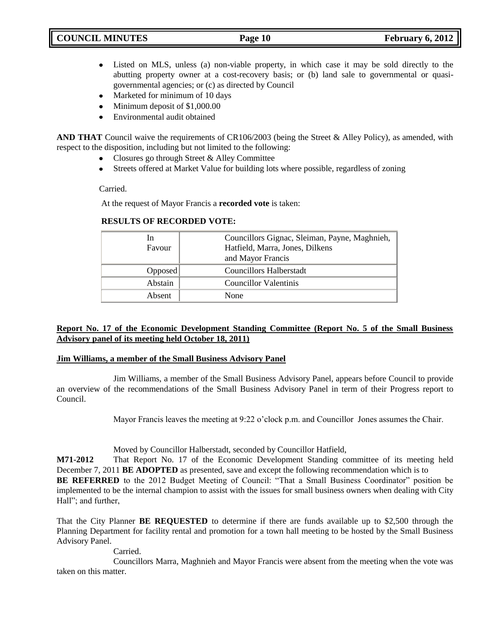- Listed on MLS, unless (a) non-viable property, in which case it may be sold directly to the  $\bullet$ abutting property owner at a cost-recovery basis; or (b) land sale to governmental or quasigovernmental agencies; or (c) as directed by Council
- Marketed for minimum of 10 days
- Minimum deposit of \$1,000.00  $\bullet$
- Environmental audit obtained  $\bullet$

**AND THAT** Council waive the requirements of CR106/2003 (being the Street & Alley Policy), as amended, with respect to the disposition, including but not limited to the following:

- $\bullet$ Closures go through Street & Alley Committee
- $\bullet$  . Streets offered at Market Value for building lots where possible, regardless of zoning

Carried.

At the request of Mayor Francis a **recorded vote** is taken:

| In.<br>Favour | Councillors Gignac, Sleiman, Payne, Maghnieh,<br>Hatfield, Marra, Jones, Dilkens<br>and Mayor Francis |
|---------------|-------------------------------------------------------------------------------------------------------|
| Opposed       | Councillors Halberstadt                                                                               |
| Abstain       | Councillor Valentinis                                                                                 |
| Absent        | None                                                                                                  |

### **RESULTS OF RECORDED VOTE:**

## **Report No. 17 of the Economic Development Standing Committee (Report No. 5 of the Small Business Advisory panel of its meeting held October 18, 2011)**

### **Jim Williams, a member of the Small Business Advisory Panel**

Jim Williams, a member of the Small Business Advisory Panel, appears before Council to provide an overview of the recommendations of the Small Business Advisory Panel in term of their Progress report to Council.

Mayor Francis leaves the meeting at 9:22 o'clock p.m. and Councillor Jones assumes the Chair.

Moved by Councillor Halberstadt, seconded by Councillor Hatfield,

**M71-2012** That Report No. 17 of the Economic Development Standing committee of its meeting held December 7, 2011 **BE ADOPTED** as presented, save and except the following recommendation which is to BE REFERRED to the 2012 Budget Meeting of Council: "That a Small Business Coordinator" position be implemented to be the internal champion to assist with the issues for small business owners when dealing with City Hall"; and further,

That the City Planner **BE REQUESTED** to determine if there are funds available up to \$2,500 through the Planning Department for facility rental and promotion for a town hall meeting to be hosted by the Small Business Advisory Panel.

**Carried** 

Councillors Marra, Maghnieh and Mayor Francis were absent from the meeting when the vote was taken on this matter.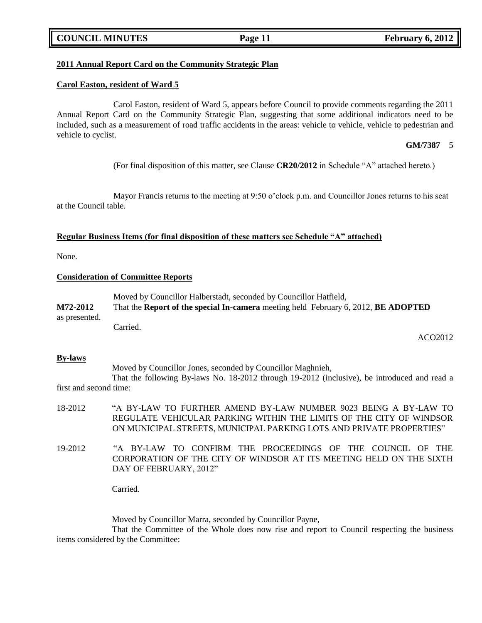### **COUNCIL MINUTES Page 11 February 6, 2012**

### **2011 Annual Report Card on the Community Strategic Plan**

#### **Carol Easton, resident of Ward 5**

Carol Easton, resident of Ward 5, appears before Council to provide comments regarding the 2011 Annual Report Card on the Community Strategic Plan, suggesting that some additional indicators need to be included, such as a measurement of road traffic accidents in the areas: vehicle to vehicle, vehicle to pedestrian and vehicle to cyclist.

#### **GM/7387** 5

(For final disposition of this matter, see Clause **CR20/2012** in Schedule "A" attached hereto.)

Mayor Francis returns to the meeting at 9:50 o'clock p.m. and Councillor Jones returns to his seat at the Council table.

#### **Regular Business Items (for final disposition of these matters see Schedule "A" attached)**

None.

### **Consideration of Committee Reports**

Moved by Councillor Halberstadt, seconded by Councillor Hatfield, **M72-2012** That the **Report of the special In-camera** meeting held February 6, 2012, **BE ADOPTED** as presented. Carried.

ACO2012

#### **By-laws**

Moved by Councillor Jones, seconded by Councillor Maghnieh,

That the following By-laws No. 18-2012 through 19-2012 (inclusive), be introduced and read a first and second time:

- 18-2012 "A BY-LAW TO FURTHER AMEND BY-LAW NUMBER 9023 BEING A BY-LAW TO REGULATE VEHICULAR PARKING WITHIN THE LIMITS OF THE CITY OF WINDSOR ON MUNICIPAL STREETS, MUNICIPAL PARKING LOTS AND PRIVATE PROPERTIES"
- 19-2012 "A BY-LAW TO CONFIRM THE PROCEEDINGS OF THE COUNCIL OF THE CORPORATION OF THE CITY OF WINDSOR AT ITS MEETING HELD ON THE SIXTH DAY OF FEBRUARY, 2012"

Carried.

Moved by Councillor Marra, seconded by Councillor Payne,

That the Committee of the Whole does now rise and report to Council respecting the business items considered by the Committee: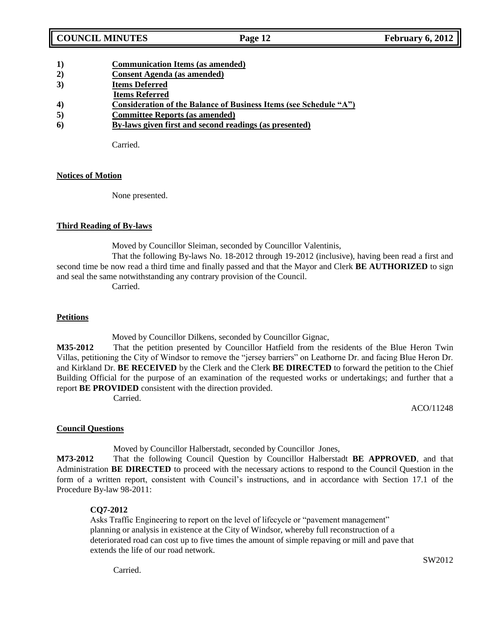- **1) Communication Items (as amended)**
- **2) Consent Agenda (as amended)**
- **3) Items Deferred**
- **Items Referred**
- **4) Consideration of the Balance of Business Items (see Schedule "A")**
- **5) Committee Reports (as amended)**
- **6) By-laws given first and second readings (as presented)**

Carried.

## **Notices of Motion**

None presented.

## **Third Reading of By-laws**

Moved by Councillor Sleiman, seconded by Councillor Valentinis,

That the following By-laws No. 18-2012 through 19-2012 (inclusive), having been read a first and second time be now read a third time and finally passed and that the Mayor and Clerk **BE AUTHORIZED** to sign and seal the same notwithstanding any contrary provision of the Council.

Carried.

## **Petitions**

Moved by Councillor Dilkens, seconded by Councillor Gignac,

**M35-2012** That the petition presented by Councillor Hatfield from the residents of the Blue Heron Twin Villas, petitioning the City of Windsor to remove the "jersey barriers" on Leathorne Dr. and facing Blue Heron Dr. and Kirkland Dr. **BE RECEIVED** by the Clerk and the Clerk **BE DIRECTED** to forward the petition to the Chief Building Official for the purpose of an examination of the requested works or undertakings; and further that a report **BE PROVIDED** consistent with the direction provided.

Carried.

ACO/11248

## **Council Questions**

Moved by Councillor Halberstadt, seconded by Councillor Jones,

**M73-2012** That the following Council Question by Councillor Halberstadt **BE APPROVED**, and that Administration **BE DIRECTED** to proceed with the necessary actions to respond to the Council Question in the form of a written report, consistent with Council"s instructions, and in accordance with Section 17.1 of the Procedure By-law 98-2011:

## **CQ7-2012**

Asks Traffic Engineering to report on the level of lifecycle or "pavement management" planning or analysis in existence at the City of Windsor, whereby full reconstruction of a deteriorated road can cost up to five times the amount of simple repaving or mill and pave that extends the life of our road network.

**Carried**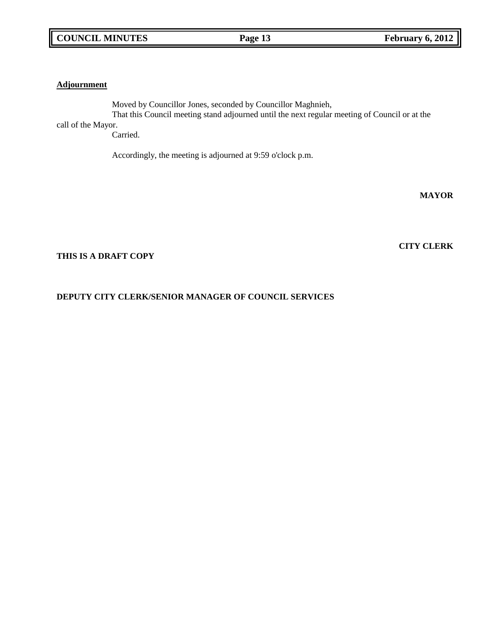### **Adjournment**

Moved by Councillor Jones, seconded by Councillor Maghnieh, That this Council meeting stand adjourned until the next regular meeting of Council or at the call of the Mayor.

Carried.

Accordingly, the meeting is adjourned at 9:59 o'clock p.m.

**MAYOR**

**CITY CLERK**

### **THIS IS A DRAFT COPY**

## **DEPUTY CITY CLERK/SENIOR MANAGER OF COUNCIL SERVICES**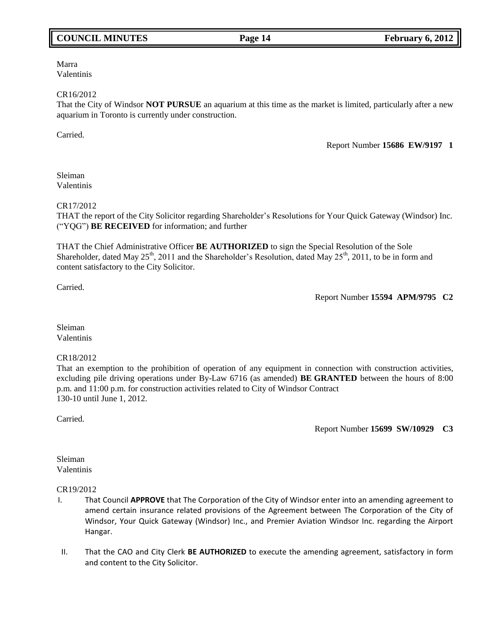## **COUNCIL MINUTES Page 14 February 6, 2012**

Marra Valentinis

#### CR16/2012

That the City of Windsor **NOT PURSUE** an aquarium at this time as the market is limited, particularly after a new aquarium in Toronto is currently under construction.

Carried.

Report Number **15686 EW/9197 1**

Sleiman Valentinis

#### CR17/2012

THAT the report of the City Solicitor regarding Shareholder"s Resolutions for Your Quick Gateway (Windsor) Inc. ("YQG") **BE RECEIVED** for information; and further

THAT the Chief Administrative Officer **BE AUTHORIZED** to sign the Special Resolution of the Sole Shareholder, dated May  $25<sup>th</sup>$ , 2011 and the Shareholder's Resolution, dated May  $25<sup>th</sup>$ , 2011, to be in form and content satisfactory to the City Solicitor.

Carried.

Report Number **15594 APM/9795 C2**

Sleiman Valentinis

#### CR18/2012

That an exemption to the prohibition of operation of any equipment in connection with construction activities, excluding pile driving operations under By-Law 6716 (as amended) **BE GRANTED** between the hours of 8:00 p.m. and 11:00 p.m. for construction activities related to City of Windsor Contract 130-10 until June 1, 2012.

Carried.

Report Number **15699 SW/10929 C3**

Sleiman Valentinis

#### CR19/2012

- I. That Council **APPROVE** that The Corporation of the City of Windsor enter into an amending agreement to amend certain insurance related provisions of the Agreement between The Corporation of the City of Windsor, Your Quick Gateway (Windsor) Inc., and Premier Aviation Windsor Inc. regarding the Airport Hangar.
- II. That the CAO and City Clerk **BE AUTHORIZED** to execute the amending agreement, satisfactory in form and content to the City Solicitor.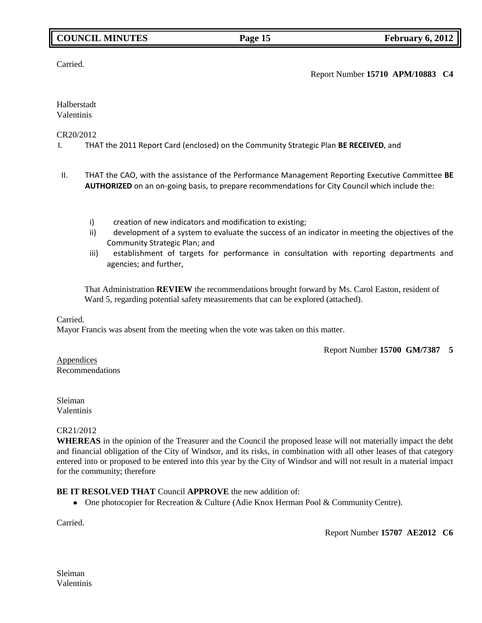## **COUNCIL MINUTES Page 15 February 6, 2012**

Carried.

## Report Number **15710 APM/10883 C4**

#### Halberstadt Valentinis

### CR20/2012

I. THAT the 2011 Report Card (enclosed) on the Community Strategic Plan **BE RECEIVED**, and

- II. THAT the CAO, with the assistance of the Performance Management Reporting Executive Committee **BE AUTHORIZED** on an on-going basis, to prepare recommendations for City Council which include the:
	- i) creation of new indicators and modification to existing;
	- ii) development of a system to evaluate the success of an indicator in meeting the objectives of the Community Strategic Plan; and
	- iii) establishment of targets for performance in consultation with reporting departments and agencies; and further,

That Administration **REVIEW** the recommendations brought forward by Ms. Carol Easton, resident of Ward 5, regarding potential safety measurements that can be explored (attached).

#### Carried.

Mayor Francis was absent from the meeting when the vote was taken on this matter.

Report Number **15700 GM/7387 5**

Appendices Recommendations

Sleiman Valentinis

### CR21/2012

**WHEREAS** in the opinion of the Treasurer and the Council the proposed lease will not materially impact the debt and financial obligation of the City of Windsor, and its risks, in combination with all other leases of that category entered into or proposed to be entered into this year by the City of Windsor and will not result in a material impact for the community; therefore

### **BE IT RESOLVED THAT** Council **APPROVE** the new addition of:

• One photocopier for Recreation & Culture (Adie Knox Herman Pool & Community Centre).

Carried.

Report Number **15707 AE2012 C6**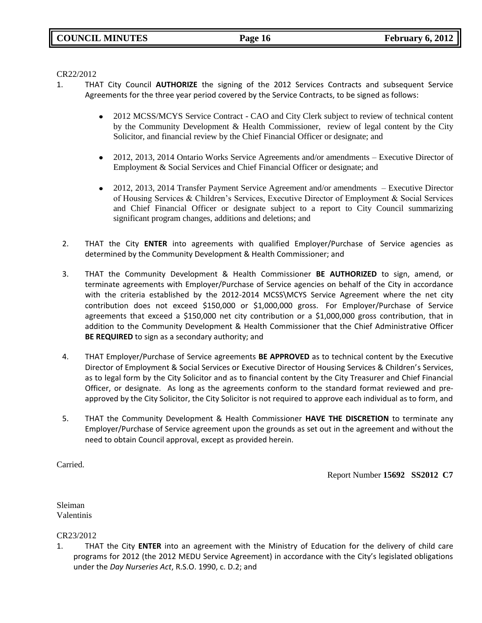CR22/2012

- 1. THAT City Council **AUTHORIZE** the signing of the 2012 Services Contracts and subsequent Service Agreements for the three year period covered by the Service Contracts, to be signed as follows:
	- 2012 MCSS/MCYS Service Contract CAO and City Clerk subject to review of technical content  $\bullet$ by the Community Development & Health Commissioner, review of legal content by the City Solicitor, and financial review by the Chief Financial Officer or designate; and
	- $\bullet$ 2012, 2013, 2014 Ontario Works Service Agreements and/or amendments – Executive Director of Employment & Social Services and Chief Financial Officer or designate; and
	- $\bullet$ 2012, 2013, 2014 Transfer Payment Service Agreement and/or amendments – Executive Director of Housing Services & Children"s Services, Executive Director of Employment & Social Services and Chief Financial Officer or designate subject to a report to City Council summarizing significant program changes, additions and deletions; and
	- 2. THAT the City **ENTER** into agreements with qualified Employer/Purchase of Service agencies as determined by the Community Development & Health Commissioner; and
	- 3. THAT the Community Development & Health Commissioner **BE AUTHORIZED** to sign, amend, or terminate agreements with Employer/Purchase of Service agencies on behalf of the City in accordance with the criteria established by the 2012-2014 MCSS\MCYS Service Agreement where the net city contribution does not exceed \$150,000 or \$1,000,000 gross. For Employer/Purchase of Service agreements that exceed a \$150,000 net city contribution or a \$1,000,000 gross contribution, that in addition to the Community Development & Health Commissioner that the Chief Administrative Officer **BE REQUIRED** to sign as a secondary authority; and
	- 4. THAT Employer/Purchase of Service agreements **BE APPROVED** as to technical content by the Executive Director of Employment & Social Services or Executive Director of Housing Services & Children's Services, as to legal form by the City Solicitor and as to financial content by the City Treasurer and Chief Financial Officer, or designate. As long as the agreements conform to the standard format reviewed and preapproved by the City Solicitor, the City Solicitor is not required to approve each individual as to form, and
	- 5. THAT the Community Development & Health Commissioner **HAVE THE DISCRETION** to terminate any Employer/Purchase of Service agreement upon the grounds as set out in the agreement and without the need to obtain Council approval, except as provided herein.

Carried.

Report Number **15692 SS2012 C7**

Sleiman Valentinis

CR23/2012

1. THAT the City **ENTER** into an agreement with the Ministry of Education for the delivery of child care programs for 2012 (the 2012 MEDU Service Agreement) in accordance with the City's legislated obligations under the *Day Nurseries Act*, R.S.O. 1990, c. D.2; and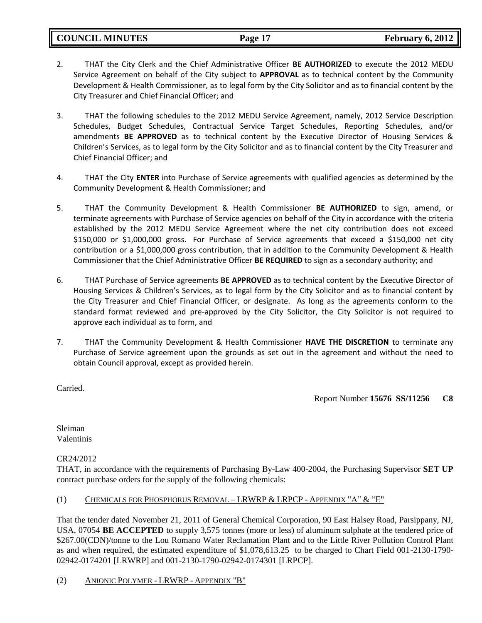**COUNCIL MINUTES Page 17 February 6, 2012**

- 2. THAT the City Clerk and the Chief Administrative Officer **BE AUTHORIZED** to execute the 2012 MEDU Service Agreement on behalf of the City subject to **APPROVAL** as to technical content by the Community Development & Health Commissioner, as to legal form by the City Solicitor and as to financial content by the City Treasurer and Chief Financial Officer; and
- 3. THAT the following schedules to the 2012 MEDU Service Agreement, namely, 2012 Service Description Schedules, Budget Schedules, Contractual Service Target Schedules, Reporting Schedules, and/or amendments **BE APPROVED** as to technical content by the Executive Director of Housing Services & Children's Services, as to legal form by the City Solicitor and as to financial content by the City Treasurer and Chief Financial Officer; and
- 4. THAT the City **ENTER** into Purchase of Service agreements with qualified agencies as determined by the Community Development & Health Commissioner; and
- 5. THAT the Community Development & Health Commissioner **BE AUTHORIZED** to sign, amend, or terminate agreements with Purchase of Service agencies on behalf of the City in accordance with the criteria established by the 2012 MEDU Service Agreement where the net city contribution does not exceed \$150,000 or \$1,000,000 gross. For Purchase of Service agreements that exceed a \$150,000 net city contribution or a \$1,000,000 gross contribution, that in addition to the Community Development & Health Commissioner that the Chief Administrative Officer **BE REQUIRED** to sign as a secondary authority; and
- 6. THAT Purchase of Service agreements **BE APPROVED** as to technical content by the Executive Director of Housing Services & Children's Services, as to legal form by the City Solicitor and as to financial content by the City Treasurer and Chief Financial Officer, or designate. As long as the agreements conform to the standard format reviewed and pre-approved by the City Solicitor, the City Solicitor is not required to approve each individual as to form, and
- 7. THAT the Community Development & Health Commissioner **HAVE THE DISCRETION** to terminate any Purchase of Service agreement upon the grounds as set out in the agreement and without the need to obtain Council approval, except as provided herein.

Carried.

Report Number **15676 SS/11256 C8**

Sleiman Valentinis

## CR24/2012

THAT, in accordance with the requirements of Purchasing By-Law 400-2004, the Purchasing Supervisor **SET UP**  contract purchase orders for the supply of the following chemicals:

## (1) CHEMICALS FOR PHOSPHORUS REMOVAL – LRWRP & LRPCP - APPENDIX "A" & "E"

That the tender dated November 21, 2011 of General Chemical Corporation, 90 East Halsey Road, Parsippany, NJ, USA, 07054 **BE ACCEPTED** to supply 3,575 tonnes (more or less) of aluminum sulphate at the tendered price of \$267.00(CDN)/tonne to the Lou Romano Water Reclamation Plant and to the Little River Pollution Control Plant as and when required, the estimated expenditure of \$1,078,613.25 to be charged to Chart Field 001-2130-1790- 02942-0174201 [LRWRP] and 001-2130-1790-02942-0174301 [LRPCP].

### (2) ANIONIC POLYMER - LRWRP - APPENDIX "B"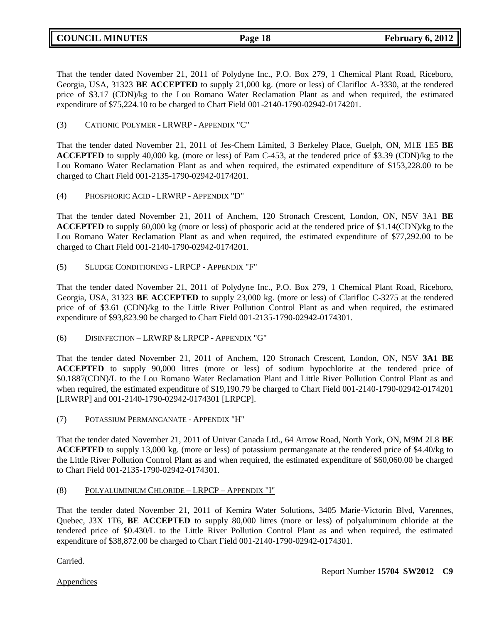That the tender dated November 21, 2011 of Polydyne Inc., P.O. Box 279, 1 Chemical Plant Road, Riceboro, Georgia, USA, 31323 **BE ACCEPTED** to supply 21,000 kg. (more or less) of Clarifloc A-3330, at the tendered price of \$3.17 (CDN)/kg to the Lou Romano Water Reclamation Plant as and when required, the estimated expenditure of \$75,224.10 to be charged to Chart Field 001-2140-1790-02942-0174201.

## (3) CATIONIC POLYMER - LRWRP - APPENDIX "C"

That the tender dated November 21, 2011 of Jes-Chem Limited, 3 Berkeley Place, Guelph, ON, M1E 1E5 **BE ACCEPTED** to supply 40,000 kg. (more or less) of Pam C-453, at the tendered price of \$3.39 (CDN)/kg to the Lou Romano Water Reclamation Plant as and when required, the estimated expenditure of \$153,228.00 to be charged to Chart Field 001-2135-1790-02942-0174201.

### (4) PHOSPHORIC ACID - LRWRP - APPENDIX "D"

That the tender dated November 21, 2011 of Anchem, 120 Stronach Crescent, London, ON, N5V 3A1 **BE ACCEPTED** to supply 60,000 kg (more or less) of phosporic acid at the tendered price of \$1.14(CDN)/kg to the Lou Romano Water Reclamation Plant as and when required, the estimated expenditure of \$77,292.00 to be charged to Chart Field 001-2140-1790-02942-0174201.

## (5) SLUDGE CONDITIONING - LRPCP - APPENDIX "F"

That the tender dated November 21, 2011 of Polydyne Inc., P.O. Box 279, 1 Chemical Plant Road, Riceboro, Georgia, USA, 31323 **BE ACCEPTED** to supply 23,000 kg. (more or less) of Clarifloc C-3275 at the tendered price of of \$3.61 (CDN)/kg to the Little River Pollution Control Plant as and when required, the estimated expenditure of \$93,823.90 be charged to Chart Field 001-2135-1790-02942-0174301.

### (6) DISINFECTION – LRWRP & LRPCP - APPENDIX "G"

That the tender dated November 21, 2011 of Anchem, 120 Stronach Crescent, London, ON, N5V **3A1 BE ACCEPTED** to supply 90,000 litres (more or less) of sodium hypochlorite at the tendered price of \$0.1887(CDN)/L to the Lou Romano Water Reclamation Plant and Little River Pollution Control Plant as and when required, the estimated expenditure of \$19,190.79 be charged to Chart Field 001-2140-1790-02942-0174201 [LRWRP] and 001-2140-1790-02942-0174301 [LRPCP].

(7) POTASSIUM PERMANGANATE - APPENDIX "H"

That the tender dated November 21, 2011 of Univar Canada Ltd., 64 Arrow Road, North York, ON, M9M 2L8 **BE ACCEPTED** to supply 13,000 kg. (more or less) of potassium permanganate at the tendered price of \$4.40/kg to the Little River Pollution Control Plant as and when required, the estimated expenditure of \$60,060.00 be charged to Chart Field 001-2135-1790-02942-0174301.

### (8) POLYALUMINIUM CHLORIDE – LRPCP – APPENDIX "I"

That the tender dated November 21, 2011 of Kemira Water Solutions, 3405 Marie-Victorin Blvd, Varennes, Quebec, J3X 1T6, **BE ACCEPTED** to supply 80,000 litres (more or less) of polyaluminum chloride at the tendered price of \$0.430/L to the Little River Pollution Control Plant as and when required, the estimated expenditure of \$38,872.00 be charged to Chart Field 001-2140-1790-02942-0174301.

Carried.

**Appendices**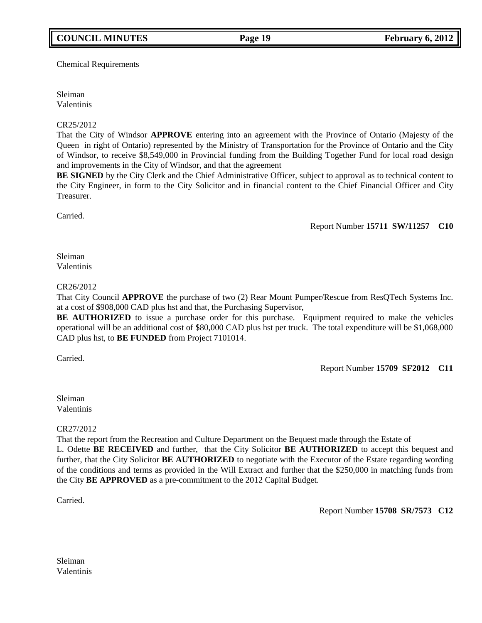Chemical Requirements

Sleiman Valentinis

### CR25/2012

That the City of Windsor **APPROVE** entering into an agreement with the Province of Ontario (Majesty of the Queen in right of Ontario) represented by the Ministry of Transportation for the Province of Ontario and the City of Windsor, to receive \$8,549,000 in Provincial funding from the Building Together Fund for local road design and improvements in the City of Windsor, and that the agreement

**BE SIGNED** by the City Clerk and the Chief Administrative Officer, subject to approval as to technical content to the City Engineer, in form to the City Solicitor and in financial content to the Chief Financial Officer and City Treasurer.

Carried.

Report Number **15711 SW/11257 C10**

Sleiman Valentinis

### CR26/2012

That City Council **APPROVE** the purchase of two (2) Rear Mount Pumper/Rescue from ResQTech Systems Inc. at a cost of \$908,000 CAD plus hst and that, the Purchasing Supervisor,

**BE AUTHORIZED** to issue a purchase order for this purchase. Equipment required to make the vehicles operational will be an additional cost of \$80,000 CAD plus hst per truck. The total expenditure will be \$1,068,000 CAD plus hst, to **BE FUNDED** from Project 7101014.

Carried.

Report Number **15709 SF2012 C11**

Sleiman Valentinis

CR27/2012

That the report from the Recreation and Culture Department on the Bequest made through the Estate of

L. Odette **BE RECEIVED** and further, that the City Solicitor **BE AUTHORIZED** to accept this bequest and further, that the City Solicitor **BE AUTHORIZED** to negotiate with the Executor of the Estate regarding wording of the conditions and terms as provided in the Will Extract and further that the \$250,000 in matching funds from the City **BE APPROVED** as a pre-commitment to the 2012 Capital Budget.

Carried.

Report Number **15708 SR/7573 C12**

Sleiman Valentinis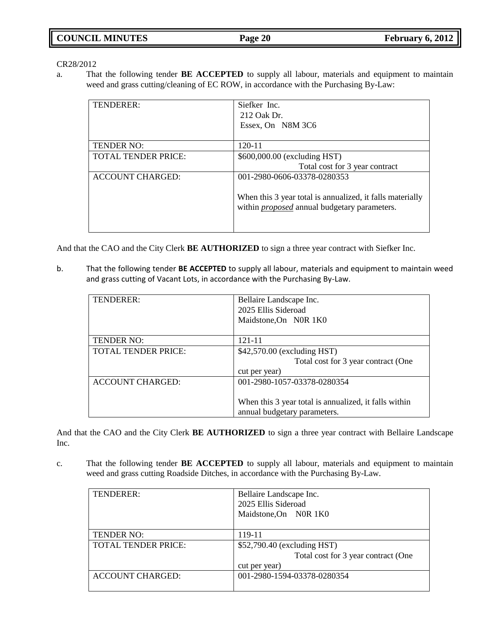CR28/2012

a. That the following tender **BE ACCEPTED** to supply all labour, materials and equipment to maintain weed and grass cutting/cleaning of EC ROW, in accordance with the Purchasing By-Law:

| TENDERER:                  | Siefker Inc.<br>212 Oak Dr.<br>Essex, On N8M 3C6                                                                 |
|----------------------------|------------------------------------------------------------------------------------------------------------------|
| <b>TENDER NO:</b>          | $120 - 11$                                                                                                       |
| <b>TOTAL TENDER PRICE:</b> | \$600,000.00 (excluding HST)<br>Total cost for 3 year contract                                                   |
| <b>ACCOUNT CHARGED:</b>    | 001-2980-0606-03378-0280353                                                                                      |
|                            | When this 3 year total is annualized, it falls materially<br>within <i>proposed</i> annual budgetary parameters. |

And that the CAO and the City Clerk **BE AUTHORIZED** to sign a three year contract with Siefker Inc.

b. That the following tender **BE ACCEPTED** to supply all labour, materials and equipment to maintain weed and grass cutting of Vacant Lots, in accordance with the Purchasing By-Law.

| TENDERER:                  | Bellaire Landscape Inc.<br>2025 Ellis Sideroad<br>Maidstone, On N0R 1K0 |
|----------------------------|-------------------------------------------------------------------------|
| <b>TENDER NO:</b>          | 121-11                                                                  |
| <b>TOTAL TENDER PRICE:</b> | \$42,570.00 (excluding HST)                                             |
|                            | Total cost for 3 year contract (One                                     |
|                            | cut per year)                                                           |
| <b>ACCOUNT CHARGED:</b>    | 001-2980-1057-03378-0280354                                             |
|                            | When this 3 year total is annualized, it falls within                   |
|                            | annual budgetary parameters.                                            |

And that the CAO and the City Clerk **BE AUTHORIZED** to sign a three year contract with Bellaire Landscape Inc.

c. That the following tender **BE ACCEPTED** to supply all labour, materials and equipment to maintain weed and grass cutting Roadside Ditches, in accordance with the Purchasing By-Law.

| TENDERER:                  | Bellaire Landscape Inc.<br>2025 Ellis Sideroad<br>Maidstone, On N0R 1K0             |
|----------------------------|-------------------------------------------------------------------------------------|
| <b>TENDER NO:</b>          | 119-11                                                                              |
| <b>TOTAL TENDER PRICE:</b> | \$52,790.40 (excluding HST)<br>Total cost for 3 year contract (One<br>cut per year) |
| <b>ACCOUNT CHARGED:</b>    | 001-2980-1594-03378-0280354                                                         |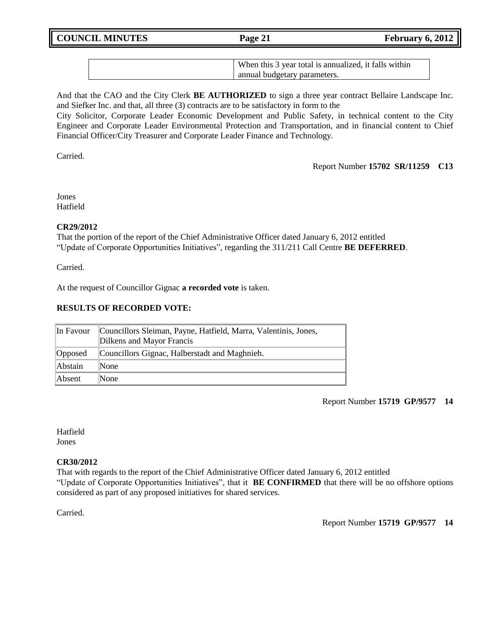**COUNCIL MINUTES Page 21 February 6, 2012**

| When this 3 year total is annualized, it falls within |
|-------------------------------------------------------|
| annual budgetary parameters.                          |

And that the CAO and the City Clerk **BE AUTHORIZED** to sign a three year contract Bellaire Landscape Inc. and Siefker Inc. and that, all three (3) contracts are to be satisfactory in form to the City Solicitor, Corporate Leader Economic Development and Public Safety, in technical content to the City

Engineer and Corporate Leader Environmental Protection and Transportation, and in financial content to Chief Financial Officer/City Treasurer and Corporate Leader Finance and Technology.

Carried.

Report Number **15702 SR/11259 C13**

Jones Hatfield

## **CR29/2012**

That the portion of the report of the Chief Administrative Officer dated January 6, 2012 entitled "Update of Corporate Opportunities Initiatives", regarding the 311/211 Call Centre **BE DEFERRED**.

Carried.

At the request of Councillor Gignac **a recorded vote** is taken.

## **RESULTS OF RECORDED VOTE:**

| In Favour | Councillors Sleiman, Payne, Hatfield, Marra, Valentinis, Jones,<br>Dilkens and Mayor Francis |
|-----------|----------------------------------------------------------------------------------------------|
| Opposed   | Councillors Gignac, Halberstadt and Maghnieh.                                                |
| Abstain   | <b>None</b>                                                                                  |
| Absent    | None                                                                                         |

Report Number **15719 GP/9577 14**

Hatfield Jones

### **CR30/2012**

That with regards to the report of the Chief Administrative Officer dated January 6, 2012 entitled "Update of Corporate Opportunities Initiatives", that it **BE CONFIRMED** that there will be no offshore options considered as part of any proposed initiatives for shared services.

Carried.

Report Number **15719 GP/9577 14**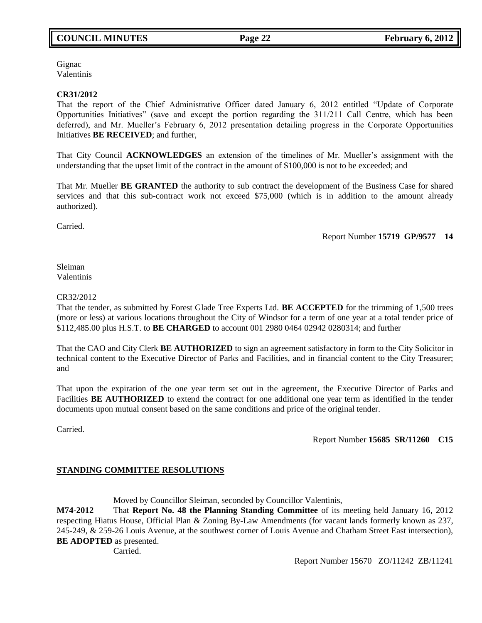## **COUNCIL MINUTES Page 22 February 6, 2012**

**Gignac** Valentinis

### **CR31/2012**

That the report of the Chief Administrative Officer dated January 6, 2012 entitled "Update of Corporate Opportunities Initiatives" (save and except the portion regarding the 311/211 Call Centre, which has been deferred), and Mr. Mueller"s February 6, 2012 presentation detailing progress in the Corporate Opportunities Initiatives **BE RECEIVED**; and further,

That City Council **ACKNOWLEDGES** an extension of the timelines of Mr. Mueller"s assignment with the understanding that the upset limit of the contract in the amount of \$100,000 is not to be exceeded; and

That Mr. Mueller **BE GRANTED** the authority to sub contract the development of the Business Case for shared services and that this sub-contract work not exceed \$75,000 (which is in addition to the amount already authorized).

Carried.

Report Number **15719 GP/9577 14**

Sleiman Valentinis

### CR32/2012

That the tender, as submitted by Forest Glade Tree Experts Ltd. **BE ACCEPTED** for the trimming of 1,500 trees (more or less) at various locations throughout the City of Windsor for a term of one year at a total tender price of \$112,485.00 plus H.S.T. to **BE CHARGED** to account 001 2980 0464 02942 0280314; and further

That the CAO and City Clerk **BE AUTHORIZED** to sign an agreement satisfactory in form to the City Solicitor in technical content to the Executive Director of Parks and Facilities, and in financial content to the City Treasurer; and

That upon the expiration of the one year term set out in the agreement, the Executive Director of Parks and Facilities **BE AUTHORIZED** to extend the contract for one additional one year term as identified in the tender documents upon mutual consent based on the same conditions and price of the original tender.

Carried.

Report Number **15685 SR/11260 C15**

### **STANDING COMMITTEE RESOLUTIONS**

Moved by Councillor Sleiman, seconded by Councillor Valentinis,

**M74-2012** That **Report No. 48 the Planning Standing Committee** of its meeting held January 16, 2012 respecting Hiatus House, Official Plan & Zoning By-Law Amendments (for vacant lands formerly known as 237, 245-249, & 259-26 Louis Avenue, at the southwest corner of Louis Avenue and Chatham Street East intersection), **BE ADOPTED** as presented.

Carried.

Report Number 15670 ZO/11242 ZB/11241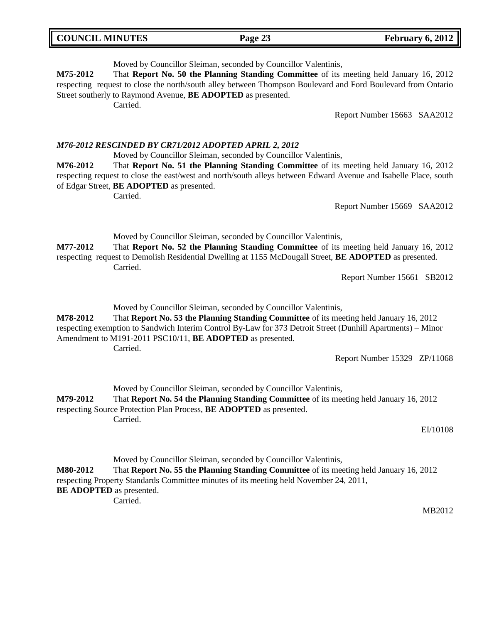Moved by Councillor Sleiman, seconded by Councillor Valentinis,

**M75-2012** That **Report No. 50 the Planning Standing Committee** of its meeting held January 16, 2012 respecting request to close the north/south alley between Thompson Boulevard and Ford Boulevard from Ontario Street southerly to Raymond Avenue, **BE ADOPTED** as presented.

Carried.

Report Number 15663 SAA2012

## *M76-2012 RESCINDED BY CR71/2012 ADOPTED APRIL 2, 2012*

Moved by Councillor Sleiman, seconded by Councillor Valentinis,

**M76-2012** That **Report No. 51 the Planning Standing Committee** of its meeting held January 16, 2012 respecting request to close the east/west and north/south alleys between Edward Avenue and Isabelle Place, south of Edgar Street, **BE ADOPTED** as presented.

Carried.

Report Number 15669 SAA2012

Moved by Councillor Sleiman, seconded by Councillor Valentinis,

**M77-2012** That **Report No. 52 the Planning Standing Committee** of its meeting held January 16, 2012 respecting request to Demolish Residential Dwelling at 1155 McDougall Street, **BE ADOPTED** as presented. Carried.

Report Number 15661 SB2012

Moved by Councillor Sleiman, seconded by Councillor Valentinis,

**M78-2012** That **Report No. 53 the Planning Standing Committee** of its meeting held January 16, 2012 respecting exemption to Sandwich Interim Control By-Law for 373 Detroit Street (Dunhill Apartments) – Minor Amendment to M191-2011 PSC10/11, **BE ADOPTED** as presented. Carried.

Report Number 15329 ZP/11068

Moved by Councillor Sleiman, seconded by Councillor Valentinis, **M79-2012** That **Report No. 54 the Planning Standing Committee** of its meeting held January 16, 2012 respecting Source Protection Plan Process, **BE ADOPTED** as presented. Carried.

EI/10108

Moved by Councillor Sleiman, seconded by Councillor Valentinis, **M80-2012** That **Report No. 55 the Planning Standing Committee** of its meeting held January 16, 2012 respecting Property Standards Committee minutes of its meeting held November 24, 2011, **BE ADOPTED** as presented. Carried.

MB2012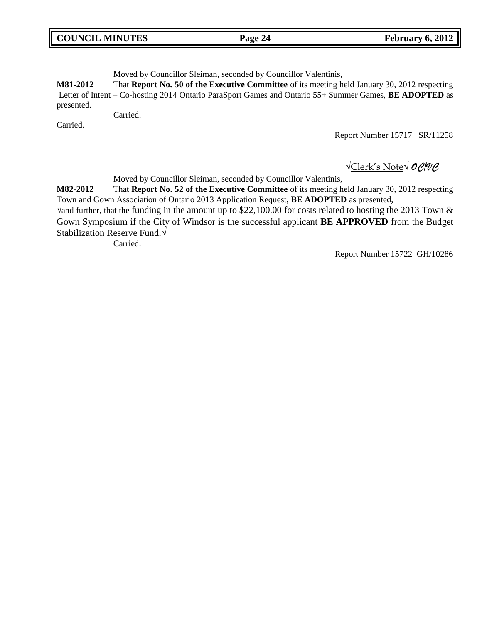| <b>COUNCIL MINUTES</b> | Page 24 | <b>February 6, 2012</b> |
|------------------------|---------|-------------------------|
|                        |         |                         |

Moved by Councillor Sleiman, seconded by Councillor Valentinis,

**M81-2012** That **Report No. 50 of the Executive Committee** of its meeting held January 30, 2012 respecting Letter of Intent – Co-hosting 2014 Ontario ParaSport Games and Ontario 55+ Summer Games, **BE ADOPTED** as presented.

Carried.

Carried.

Report Number 15717 SR/11258

√Clerk's Note√ *OC/VC*

Moved by Councillor Sleiman, seconded by Councillor Valentinis,

**M82-2012** That **Report No. 52 of the Executive Committee** of its meeting held January 30, 2012 respecting Town and Gown Association of Ontario 2013 Application Request, **BE ADOPTED** as presented,

√and further, that the funding in the amount up to \$22,100.00 for costs related to hosting the 2013 Town & Gown Symposium if the City of Windsor is the successful applicant **BE APPROVED** from the Budget Stabilization Reserve Fund.√

Carried.

Report Number 15722 GH/10286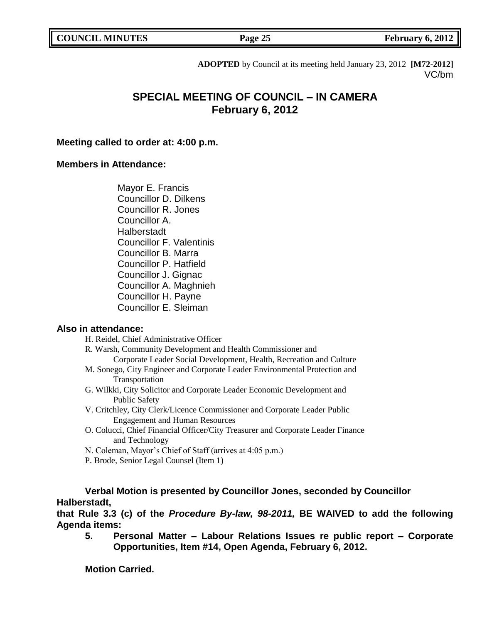**COUNCIL MINUTES Page 25 February 6, 2012** 

**ADOPTED** by Council at its meeting held January 23, 2012 **[M72-2012]** VC/bm

# **SPECIAL MEETING OF COUNCIL – IN CAMERA February 6, 2012**

## **Meeting called to order at: 4:00 p.m.**

## **Members in Attendance:**

Mayor E. Francis Councillor D. Dilkens Councillor R. Jones Councillor A. Halberstadt Councillor F. Valentinis Councillor B. Marra Councillor P. Hatfield Councillor J. Gignac Councillor A. Maghnieh Councillor H. Payne Councillor E. Sleiman

## **Also in attendance:**

H. Reidel, Chief Administrative Officer

R. Warsh, Community Development and Health Commissioner and Corporate Leader Social Development, Health, Recreation and Culture

- M. Sonego, City Engineer and Corporate Leader Environmental Protection and Transportation
- G. Wilkki, City Solicitor and Corporate Leader Economic Development and Public Safety
- V. Critchley, City Clerk/Licence Commissioner and Corporate Leader Public Engagement and Human Resources
- O. Colucci, Chief Financial Officer/City Treasurer and Corporate Leader Finance and Technology
- N. Coleman, Mayor"s Chief of Staff (arrives at 4:05 p.m.)
- P. Brode, Senior Legal Counsel (Item 1)

**Verbal Motion is presented by Councillor Jones, seconded by Councillor Halberstadt,**

**that Rule 3.3 (c) of the** *Procedure By-law, 98-2011,* **BE WAIVED to add the following Agenda items:**

**5. Personal Matter – Labour Relations Issues re public report – Corporate Opportunities, Item #14, Open Agenda, February 6, 2012.**

**Motion Carried.**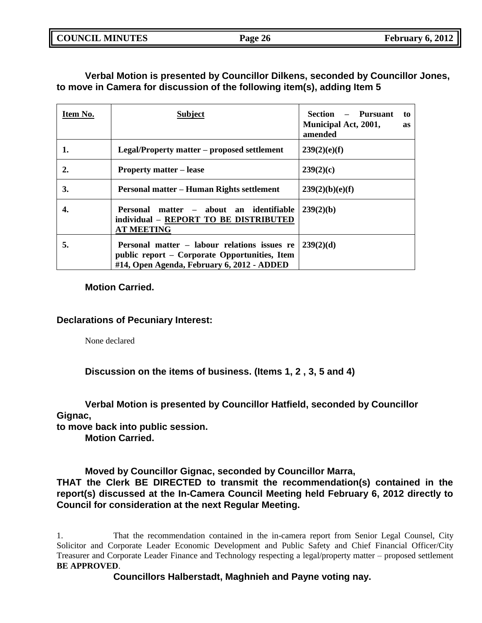**COUNCIL MINUTES Page 26 February 6, 2012**

## **Verbal Motion is presented by Councillor Dilkens, seconded by Councillor Jones, to move in Camera for discussion of the following item(s), adding Item 5**

| Item No. | <b>Subject</b>                                                                                                                              | – Pursuant<br>Section<br>to<br><b>Municipal Act, 2001,</b><br>as<br>amended |
|----------|---------------------------------------------------------------------------------------------------------------------------------------------|-----------------------------------------------------------------------------|
| 1.       | Legal/Property matter – proposed settlement                                                                                                 | 239(2)(e)(f)                                                                |
| 2.       | <b>Property matter – lease</b>                                                                                                              | 239(2)(c)                                                                   |
| 3.       | Personal matter – Human Rights settlement                                                                                                   | 239(2)(b)(e)(f)                                                             |
| 4.       | Personal matter – about an identifiable<br>individual - REPORT TO BE DISTRIBUTED<br><b>AT MEETING</b>                                       | 239(2)(b)                                                                   |
| 5.       | Personal matter – labour relations issues re<br>public report – Corporate Opportunities, Item<br>#14, Open Agenda, February 6, 2012 - ADDED | 239(2)(d)                                                                   |

**Motion Carried.**

## **Declarations of Pecuniary Interest:**

None declared

**Discussion on the items of business. (Items 1, 2 , 3, 5 and 4)**

**Verbal Motion is presented by Councillor Hatfield, seconded by Councillor Gignac,**

**to move back into public session.**

**Motion Carried.**

**Moved by Councillor Gignac, seconded by Councillor Marra,**

**THAT the Clerk BE DIRECTED to transmit the recommendation(s) contained in the report(s) discussed at the In-Camera Council Meeting held February 6, 2012 directly to Council for consideration at the next Regular Meeting.**

1. That the recommendation contained in the in-camera report from Senior Legal Counsel, City Solicitor and Corporate Leader Economic Development and Public Safety and Chief Financial Officer/City Treasurer and Corporate Leader Finance and Technology respecting a legal/property matter – proposed settlement **BE APPROVED**.

**Councillors Halberstadt, Maghnieh and Payne voting nay.**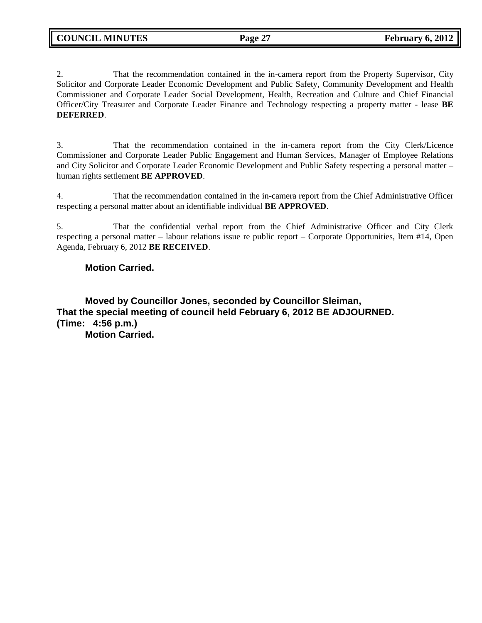2. That the recommendation contained in the in-camera report from the Property Supervisor, City Solicitor and Corporate Leader Economic Development and Public Safety, Community Development and Health Commissioner and Corporate Leader Social Development, Health, Recreation and Culture and Chief Financial Officer/City Treasurer and Corporate Leader Finance and Technology respecting a property matter - lease **BE DEFERRED**.

3. That the recommendation contained in the in-camera report from the City Clerk/Licence Commissioner and Corporate Leader Public Engagement and Human Services, Manager of Employee Relations and City Solicitor and Corporate Leader Economic Development and Public Safety respecting a personal matter – human rights settlement **BE APPROVED**.

4. That the recommendation contained in the in-camera report from the Chief Administrative Officer respecting a personal matter about an identifiable individual **BE APPROVED**.

5. That the confidential verbal report from the Chief Administrative Officer and City Clerk respecting a personal matter – labour relations issue re public report – Corporate Opportunities, Item #14, Open Agenda, February 6, 2012 **BE RECEIVED**.

## **Motion Carried.**

**Moved by Councillor Jones, seconded by Councillor Sleiman, That the special meeting of council held February 6, 2012 BE ADJOURNED. (Time: 4:56 p.m.)**

**Motion Carried.**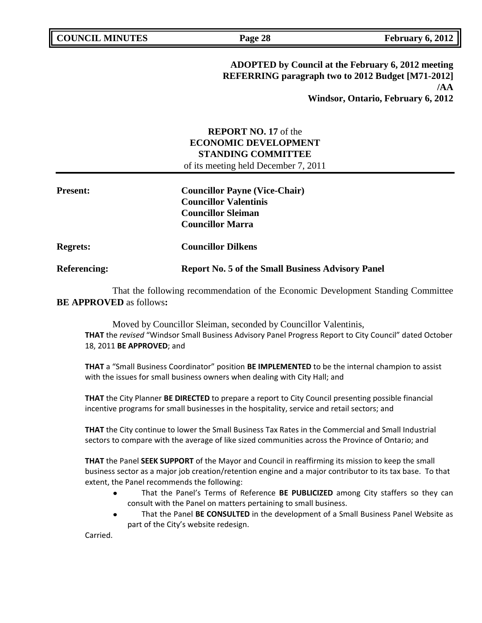**ADOPTED by Council at the February 6, 2012 meeting REFERRING paragraph two to 2012 Budget [M71-2012] /AA Windsor, Ontario, February 6, 2012**

## **REPORT NO. 17** of the **ECONOMIC DEVELOPMENT STANDING COMMITTEE** of its meeting held December 7, 2011

| <b>Present:</b>     | <b>Councillor Payne (Vice-Chair)</b>                     |
|---------------------|----------------------------------------------------------|
|                     | <b>Councillor Valentinis</b>                             |
|                     | <b>Councillor Sleiman</b>                                |
|                     | <b>Councillor Marra</b>                                  |
| <b>Regrets:</b>     | <b>Councillor Dilkens</b>                                |
| <b>Referencing:</b> | <b>Report No. 5 of the Small Business Advisory Panel</b> |

That the following recommendation of the Economic Development Standing Committee **BE APPROVED** as follows**:** 

Moved by Councillor Sleiman, seconded by Councillor Valentinis, **THAT** the *revised* "Windsor Small Business Advisory Panel Progress Report to City Council" dated October 18, 2011 **BE APPROVED**; and

**THAT** a "Small Business Coordinator" position **BE IMPLEMENTED** to be the internal champion to assist with the issues for small business owners when dealing with City Hall; and

**THAT** the City Planner **BE DIRECTED** to prepare a report to City Council presenting possible financial incentive programs for small businesses in the hospitality, service and retail sectors; and

**THAT** the City continue to lower the Small Business Tax Rates in the Commercial and Small Industrial sectors to compare with the average of like sized communities across the Province of Ontario; and

**THAT** the Panel **SEEK SUPPORT** of the Mayor and Council in reaffirming its mission to keep the small business sector as a major job creation/retention engine and a major contributor to its tax base. To that extent, the Panel recommends the following:

- That the Panel's Terms of Reference **BE PUBLICIZED** among City staffers so they can consult with the Panel on matters pertaining to small business.
- That the Panel **BE CONSULTED** in the development of a Small Business Panel Website as part of the City's website redesign.

Carried.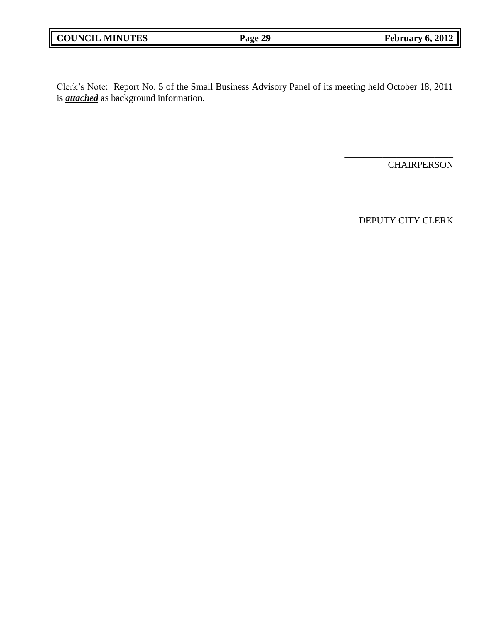Clerk"s Note: Report No. 5 of the Small Business Advisory Panel of its meeting held October 18, 2011 is *attached* as background information.

**CHAIRPERSON** 

DEPUTY CITY CLERK

\_\_\_\_\_\_\_\_\_\_\_\_\_\_\_\_\_\_\_\_\_\_\_

\_\_\_\_\_\_\_\_\_\_\_\_\_\_\_\_\_\_\_\_\_\_\_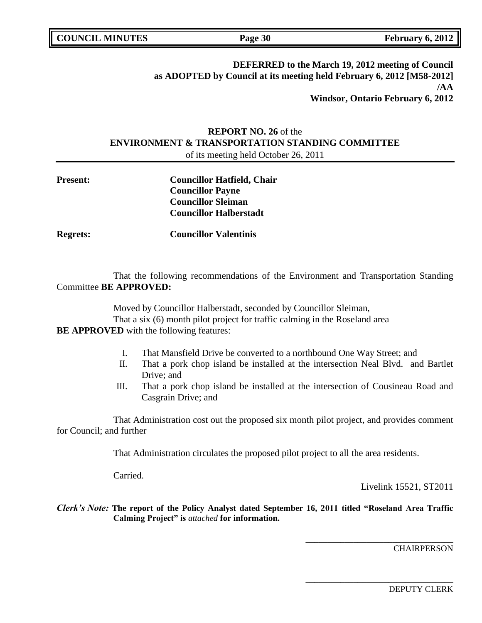| <b>COUNCIL MINUTES</b> |  |
|------------------------|--|
|                        |  |

## **DEFERRED to the March 19, 2012 meeting of Council as ADOPTED by Council at its meeting held February 6, 2012 [M58-2012] /AA Windsor, Ontario February 6, 2012**

## **REPORT NO. 26** of the **ENVIRONMENT & TRANSPORTATION STANDING COMMITTEE** of its meeting held October 26, 2011

| <b>Present:</b> | <b>Councillor Hatfield, Chair</b> |
|-----------------|-----------------------------------|
|                 | <b>Councillor Payne</b>           |
|                 | <b>Councillor Sleiman</b>         |
|                 | <b>Councillor Halberstadt</b>     |
|                 |                                   |

**Regrets: Councillor Valentinis**

That the following recommendations of the Environment and Transportation Standing Committee **BE APPROVED:** 

Moved by Councillor Halberstadt, seconded by Councillor Sleiman,

That a six (6) month pilot project for traffic calming in the Roseland area

**BE APPROVED** with the following features:

- I. That Mansfield Drive be converted to a northbound One Way Street; and
- II. That a pork chop island be installed at the intersection Neal Blvd. and Bartlet Drive; and
- III. That a pork chop island be installed at the intersection of Cousineau Road and Casgrain Drive; and

That Administration cost out the proposed six month pilot project, and provides comment for Council; and further

That Administration circulates the proposed pilot project to all the area residents.

Carried.

Livelink 15521, ST2011

**\_\_\_\_\_\_\_\_\_\_\_\_\_\_\_\_\_\_\_\_\_\_\_\_\_\_\_\_\_\_\_\_\_\_**

\_\_\_\_\_\_\_\_\_\_\_\_\_\_\_\_\_\_\_\_\_\_\_\_\_\_\_\_\_\_\_\_\_\_

*Clerk's Note:* **The report of the Policy Analyst dated September 16, 2011 titled "Roseland Area Traffic Calming Project" is** *attached* **for information.**

**CHAIRPERSON**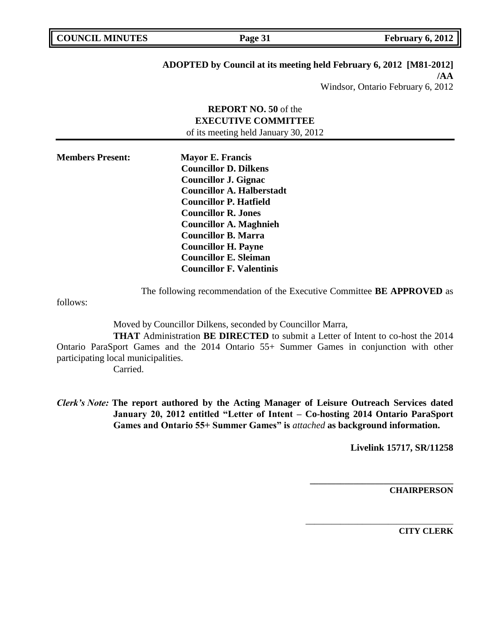**Page 31 February 6, 2012** 

# **ADOPTED by Council at its meeting held February 6, 2012 [M81-2012]**

**/AA** Windsor, Ontario February 6, 2012

## **REPORT NO. 50** of the **EXECUTIVE COMMITTEE** of its meeting held January 30, 2012

| <b>Members Present:</b> | <b>Mayor E. Francis</b>          |  |
|-------------------------|----------------------------------|--|
|                         | <b>Councillor D. Dilkens</b>     |  |
|                         | <b>Councillor J. Gignac</b>      |  |
|                         | <b>Councillor A. Halberstadt</b> |  |
|                         | <b>Councillor P. Hatfield</b>    |  |
|                         | <b>Councillor R. Jones</b>       |  |
|                         | <b>Councillor A. Maghnieh</b>    |  |
|                         | <b>Councillor B. Marra</b>       |  |
|                         | <b>Councillor H. Payne</b>       |  |
|                         | <b>Councillor E. Sleiman</b>     |  |
|                         | <b>Councillor F. Valentinis</b>  |  |

The following recommendation of the Executive Committee **BE APPROVED** as

follows:

Moved by Councillor Dilkens, seconded by Councillor Marra,

**THAT** Administration **BE DIRECTED** to submit a Letter of Intent to co-host the 2014 Ontario ParaSport Games and the 2014 Ontario 55+ Summer Games in conjunction with other participating local municipalities.

Carried.

*Clerk's Note:* **The report authored by the Acting Manager of Leisure Outreach Services dated January 20, 2012 entitled "Letter of Intent – Co-hosting 2014 Ontario ParaSport Games and Ontario 55+ Summer Games" is** *attached* **as background information.**

**Livelink 15717, SR/11258**

**\_\_\_\_\_\_\_\_\_\_\_\_\_\_\_\_\_\_\_\_\_\_\_\_\_\_\_\_\_\_\_\_\_**

\_\_\_\_\_\_\_\_\_\_\_\_\_\_\_\_\_\_\_\_\_\_\_\_\_\_\_\_\_\_\_\_\_\_

**CHAIRPERSON**

**CITY CLERK**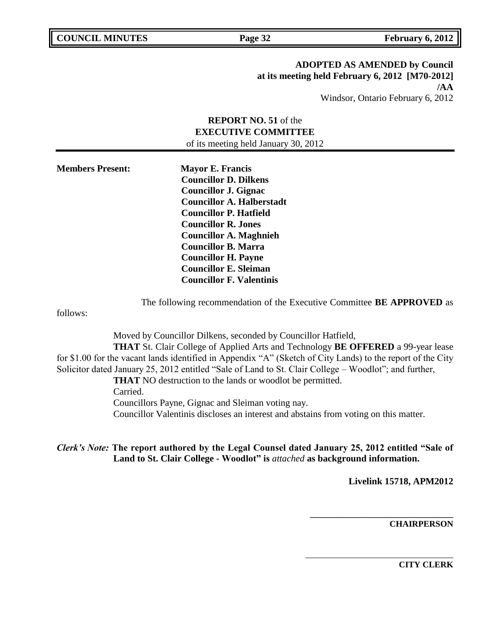**ADOPTED AS AMENDED by Council at its meeting held February 6, 2012 [M70-2012] /AA** Windsor, Ontario February 6, 2012

## **REPORT NO. 51** of the **EXECUTIVE COMMITTEE** of its meeting held January 30, 2012

**Members Present: Mayor E. Francis Councillor D. Dilkens Councillor J. Gignac Councillor A. Halberstadt Councillor P. Hatfield Councillor R. Jones Councillor A. Maghnieh Councillor B. Marra Councillor H. Payne Councillor E. Sleiman Councillor F. Valentinis**

The following recommendation of the Executive Committee **BE APPROVED** as

follows:

Moved by Councillor Dilkens, seconded by Councillor Hatfield, **THAT** St. Clair College of Applied Arts and Technology **BE OFFERED** a 99-year lease for \$1.00 for the vacant lands identified in Appendix "A" (Sketch of City Lands) to the report of the City Solicitor dated January 25, 2012 entitled "Sale of Land to St. Clair College – Woodlot"; and further, **THAT** NO destruction to the lands or woodlot be permitted. Carried. Councillors Payne, Gignac and Sleiman voting nay. Councillor Valentinis discloses an interest and abstains from voting on this matter.

*Clerk's Note:* **The report authored by the Legal Counsel dated January 25, 2012 entitled "Sale of Land to St. Clair College - Woodlot" is** *attached* **as background information.**

**Livelink 15718, APM2012**

**\_\_\_\_\_\_\_\_\_\_\_\_\_\_\_\_\_\_\_\_\_\_\_\_\_\_\_\_\_\_\_\_\_**

\_\_\_\_\_\_\_\_\_\_\_\_\_\_\_\_\_\_\_\_\_\_\_\_\_\_\_\_\_\_\_\_\_\_

**CHAIRPERSON**

**CITY CLERK**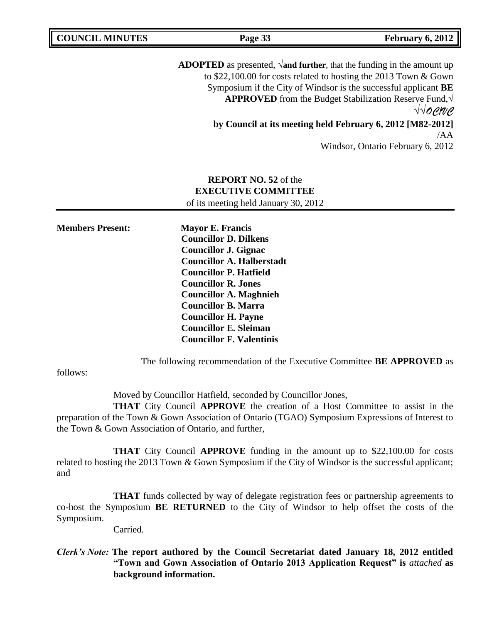| <b>COUNCIL MINUTES</b>  | Page 33                                                                                                                                                                                                                                                                                                                | <b>February 6, 2012</b>                                                                  |
|-------------------------|------------------------------------------------------------------------------------------------------------------------------------------------------------------------------------------------------------------------------------------------------------------------------------------------------------------------|------------------------------------------------------------------------------------------|
|                         | <b>ADOPTED</b> as presented, $\sqrt{$ and further, that the funding in the amount up<br>to \$22,100.00 for costs related to hosting the 2013 Town & Gown<br>Symposium if the City of Windsor is the successful applicant BE                                                                                            | <b>APPROVED</b> from the Budget Stabilization Reserve Fund, $\sqrt{}$<br>$\sqrt{10}$ ene |
|                         | by Council at its meeting held February 6, 2012 [M82-2012]                                                                                                                                                                                                                                                             | /AA                                                                                      |
|                         |                                                                                                                                                                                                                                                                                                                        | Windsor, Ontario February 6, 2012                                                        |
|                         | <b>REPORT NO. 52 of the</b><br><b>EXECUTIVE COMMITTEE</b><br>of its meeting held January 30, 2012                                                                                                                                                                                                                      |                                                                                          |
| <b>Members Present:</b> | <b>Mayor E. Francis</b><br><b>Councillor D. Dilkens</b><br><b>Councillor J. Gignac</b><br><b>Councillor A. Halberstadt</b><br><b>Councillor P. Hatfield</b><br><b>Councillor R. Jones</b><br><b>Councillor A. Maghnieh</b><br><b>Councillor B. Marra</b><br><b>Councillor H. Payne</b><br><b>Councillor E. Sleiman</b> |                                                                                          |

The following recommendation of the Executive Committee **BE APPROVED** as

follows:

Moved by Councillor Hatfield, seconded by Councillor Jones,

**Councillor F. Valentinis**

**THAT** City Council **APPROVE** the creation of a Host Committee to assist in the preparation of the Town & Gown Association of Ontario (TGAO) Symposium Expressions of Interest to the Town & Gown Association of Ontario, and further,

**THAT** City Council **APPROVE** funding in the amount up to \$22,100.00 for costs related to hosting the 2013 Town & Gown Symposium if the City of Windsor is the successful applicant; and

**THAT** funds collected by way of delegate registration fees or partnership agreements to co-host the Symposium **BE RETURNED** to the City of Windsor to help offset the costs of the Symposium.

Carried.

## *Clerk's Note:* **The report authored by the Council Secretariat dated January 18, 2012 entitled "Town and Gown Association of Ontario 2013 Application Request" is** *attached* **as background information.**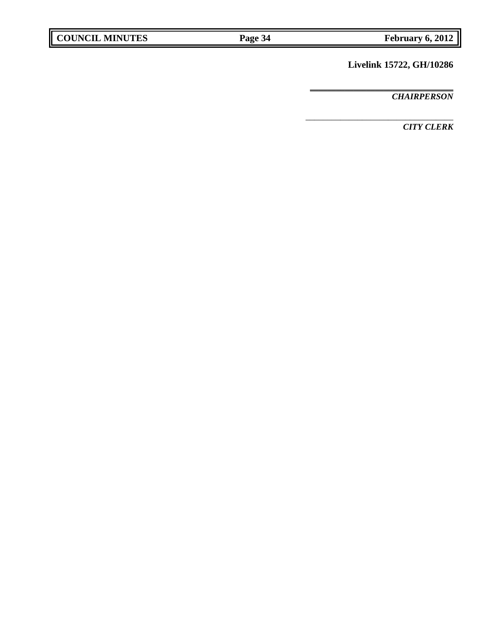# **Livelink 15722, GH/10286**

**\_\_\_\_\_\_\_\_\_\_\_\_\_\_\_\_\_\_\_\_\_\_\_\_\_\_\_\_\_\_\_\_\_**

\_\_\_\_\_\_\_\_\_\_\_\_\_\_\_\_\_\_\_\_\_\_\_\_\_\_\_\_\_\_\_\_\_\_

*CHAIRPERSON*

*CITY CLERK*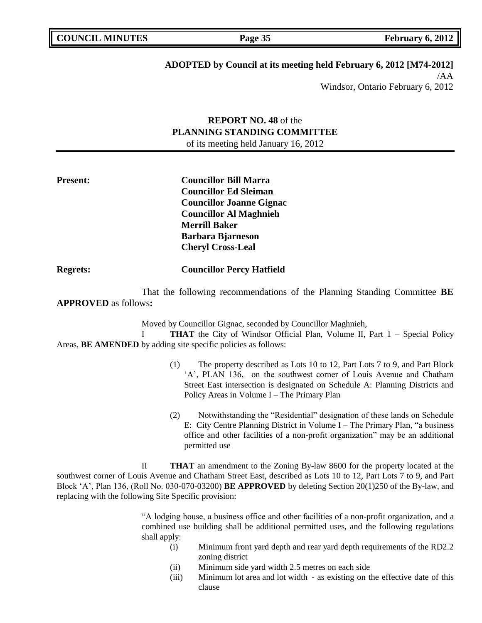**Page 35 February 6, 2012** 

# **ADOPTED by Council at its meeting held February 6, 2012 [M74-2012]**

/AA Windsor, Ontario February 6, 2012

## **REPORT NO. 48** of the **PLANNING STANDING COMMITTEE** of its meeting held January 16, 2012

**Present: Councillor Bill Marra Councillor Ed Sleiman Councillor Joanne Gignac Councillor Al Maghnieh Merrill Baker Barbara Bjarneson Cheryl Cross-Leal**

**Regrets: Councillor Percy Hatfield**

That the following recommendations of the Planning Standing Committee **BE APPROVED** as follows**:** 

Moved by Councillor Gignac, seconded by Councillor Maghnieh,

I **THAT** the City of Windsor Official Plan, Volume II, Part 1 – Special Policy Areas, **BE AMENDED** by adding site specific policies as follows:

- (1) The property described as Lots 10 to 12, Part Lots 7 to 9, and Part Block "A", PLAN 136, on the southwest corner of Louis Avenue and Chatham Street East intersection is designated on Schedule A: Planning Districts and Policy Areas in Volume I – The Primary Plan
- (2) Notwithstanding the "Residential" designation of these lands on Schedule E: City Centre Planning District in Volume I – The Primary Plan, "a business office and other facilities of a non-profit organization" may be an additional permitted use

II **THAT** an amendment to the Zoning By-law 8600 for the property located at the southwest corner of Louis Avenue and Chatham Street East, described as Lots 10 to 12, Part Lots 7 to 9, and Part Block "A", Plan 136, (Roll No. 030-070-03200) **BE APPROVED** by deleting Section 20(1)250 of the By-law, and replacing with the following Site Specific provision:

> "A lodging house, a business office and other facilities of a non-profit organization, and a combined use building shall be additional permitted uses, and the following regulations shall apply:

- (i) Minimum front yard depth and rear yard depth requirements of the RD2.2 zoning district
- (ii) Minimum side yard width 2.5 metres on each side
- (iii) Minimum lot area and lot width as existing on the effective date of this clause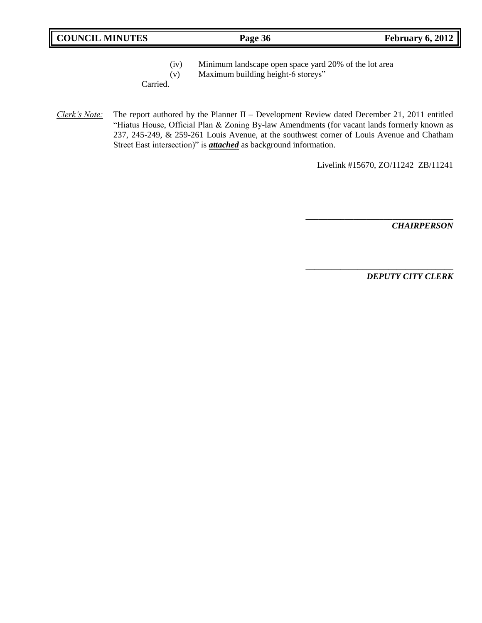- (iv) Minimum landscape open space yard 20% of the lot area
- (v) Maximum building height-6 storeys"

Carried.

*Clerk's Note:* The report authored by the Planner II – Development Review dated December 21, 2011 entitled "Hiatus House, Official Plan & Zoning By-law Amendments (for vacant lands formerly known as 237, 245-249, & 259-261 Louis Avenue, at the southwest corner of Louis Avenue and Chatham Street East intersection)" is *attached* as background information.

Livelink #15670, ZO/11242 ZB/11241

**\_\_\_\_\_\_\_\_\_\_\_\_\_\_\_\_\_\_\_\_\_\_\_\_\_\_\_\_\_\_\_\_\_\_**

\_\_\_\_\_\_\_\_\_\_\_\_\_\_\_\_\_\_\_\_\_\_\_\_\_\_\_\_\_\_\_\_\_\_

*CHAIRPERSON*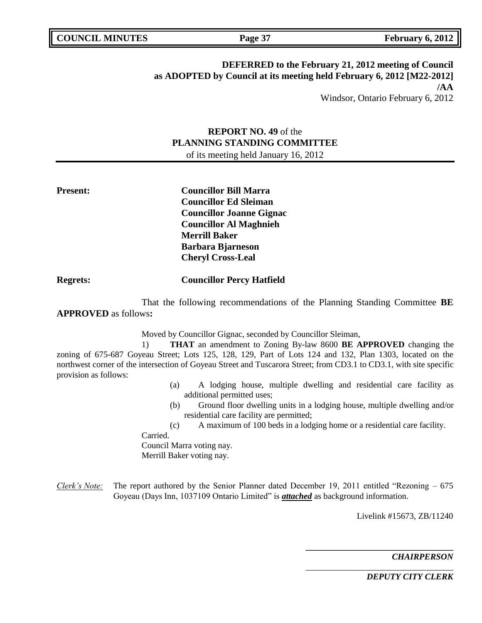## **DEFERRED to the February 21, 2012 meeting of Council as ADOPTED by Council at its meeting held February 6, 2012 [M22-2012] /AA** Windsor, Ontario February 6, 2012

**REPORT NO. 49** of the **PLANNING STANDING COMMITTEE**

of its meeting held January 16, 2012

**Present: Councillor Bill Marra Councillor Ed Sleiman Councillor Joanne Gignac Councillor Al Maghnieh Merrill Baker Barbara Bjarneson Cheryl Cross-Leal**

**Regrets: Councillor Percy Hatfield**

That the following recommendations of the Planning Standing Committee **BE APPROVED** as follows**:** 

Moved by Councillor Gignac, seconded by Councillor Sleiman,

1) **THAT** an amendment to Zoning By-law 8600 **BE APPROVED** changing the zoning of 675-687 Goyeau Street; Lots 125, 128, 129, Part of Lots 124 and 132, Plan 1303, located on the northwest corner of the intersection of Goyeau Street and Tuscarora Street; from CD3.1 to CD3.1, with site specific provision as follows:

- (a) A lodging house, multiple dwelling and residential care facility as additional permitted uses;
- (b) Ground floor dwelling units in a lodging house, multiple dwelling and/or residential care facility are permitted;
- (c) A maximum of 100 beds in a lodging home or a residential care facility.

Carried.

Council Marra voting nay. Merrill Baker voting nay.

*Clerk's Note:* The report authored by the Senior Planner dated December 19, 2011 entitled "Rezoning – 675 Goyeau (Days Inn, 1037109 Ontario Limited" is *attached* as background information.

Livelink #15673, ZB/11240

**\_\_\_\_\_\_\_\_\_\_\_\_\_\_\_\_\_\_\_\_\_\_\_\_\_\_\_\_\_\_\_\_\_\_**

\_\_\_\_\_\_\_\_\_\_\_\_\_\_\_\_\_\_\_\_\_\_\_\_\_\_\_\_\_\_\_\_\_\_

*CHAIRPERSON*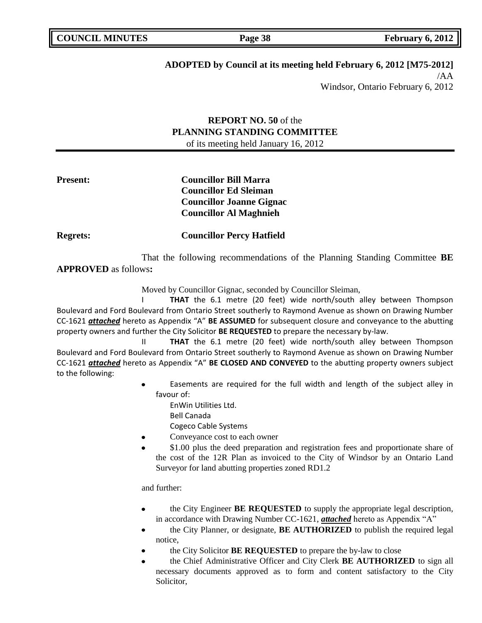# **ADOPTED by Council at its meeting held February 6, 2012 [M75-2012]**

/AA Windsor, Ontario February 6, 2012

## **REPORT NO. 50** of the **PLANNING STANDING COMMITTEE** of its meeting held January 16, 2012

## **Present: Councillor Bill Marra Councillor Ed Sleiman Councillor Joanne Gignac Councillor Al Maghnieh**

**Regrets: Councillor Percy Hatfield**

That the following recommendations of the Planning Standing Committee **BE APPROVED** as follows**:** 

Moved by Councillor Gignac, seconded by Councillor Sleiman,

I **THAT** the 6.1 metre (20 feet) wide north/south alley between Thompson Boulevard and Ford Boulevard from Ontario Street southerly to Raymond Avenue as shown on Drawing Number CC-1621 *attached* hereto as Appendix "A" **BE ASSUMED** for subsequent closure and conveyance to the abutting property owners and further the City Solicitor **BE REQUESTED** to prepare the necessary by-law.

II **THAT** the 6.1 metre (20 feet) wide north/south alley between Thompson Boulevard and Ford Boulevard from Ontario Street southerly to Raymond Avenue as shown on Drawing Number CC-1621 *attached* hereto as Appendix "A" **BE CLOSED AND CONVEYED** to the abutting property owners subject to the following:

- Easements are required for the full width and length of the subject alley in favour of:
	- EnWin Utilities Ltd.
	- Bell Canada
	- Cogeco Cable Systems
- Conveyance cost to each owner
- \$1.00 plus the deed preparation and registration fees and proportionate share of the cost of the 12R Plan as invoiced to the City of Windsor by an Ontario Land Surveyor for land abutting properties zoned RD1.2

and further:

- the City Engineer **BE REQUESTED** to supply the appropriate legal description, in accordance with Drawing Number CC-1621, *attached* hereto as Appendix "A"
- the City Planner, or designate, **BE AUTHORIZED** to publish the required legal notice,
- the City Solicitor **BE REQUESTED** to prepare the by-law to close
- the Chief Administrative Officer and City Clerk **BE AUTHORIZED** to sign all necessary documents approved as to form and content satisfactory to the City Solicitor,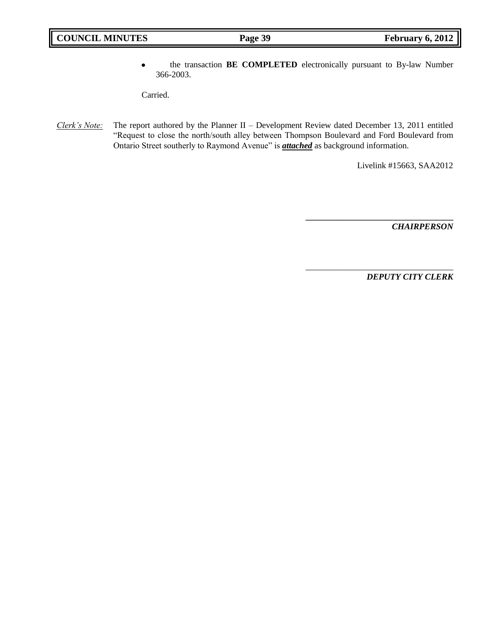the transaction **BE COMPLETED** electronically pursuant to By-law Number  $\bullet$ 366-2003.

Carried.

*Clerk's Note:* The report authored by the Planner II – Development Review dated December 13, 2011 entitled "Request to close the north/south alley between Thompson Boulevard and Ford Boulevard from Ontario Street southerly to Raymond Avenue" is *attached* as background information.

Livelink #15663, SAA2012

**\_\_\_\_\_\_\_\_\_\_\_\_\_\_\_\_\_\_\_\_\_\_\_\_\_\_\_\_\_\_\_\_\_\_**

\_\_\_\_\_\_\_\_\_\_\_\_\_\_\_\_\_\_\_\_\_\_\_\_\_\_\_\_\_\_\_\_\_\_

*CHAIRPERSON*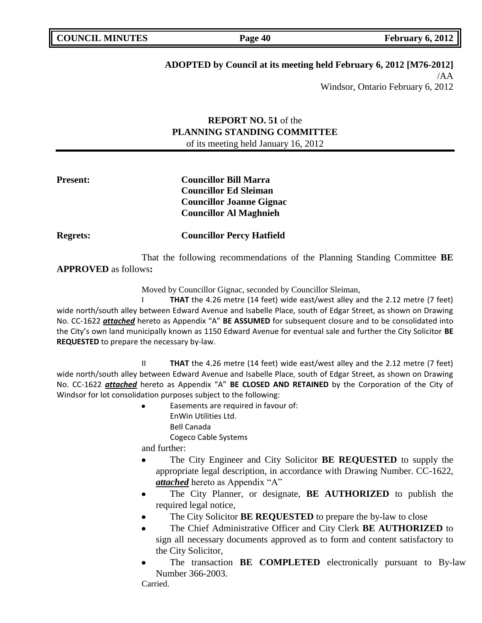# **ADOPTED by Council at its meeting held February 6, 2012 [M76-2012]**

/AA Windsor, Ontario February 6, 2012

## **REPORT NO. 51** of the **PLANNING STANDING COMMITTEE** of its meeting held January 16, 2012

## **Present: Councillor Bill Marra Councillor Ed Sleiman Councillor Joanne Gignac Councillor Al Maghnieh**

**Regrets: Councillor Percy Hatfield**

That the following recommendations of the Planning Standing Committee **BE APPROVED** as follows**:** 

Moved by Councillor Gignac, seconded by Councillor Sleiman,

I **THAT** the 4.26 metre (14 feet) wide east/west alley and the 2.12 metre (7 feet) wide north/south alley between Edward Avenue and Isabelle Place, south of Edgar Street, as shown on Drawing No. CC-1622 *attached* hereto as Appendix "A" **BE ASSUMED** for subsequent closure and to be consolidated into the City's own land municipally known as 1150 Edward Avenue for eventual sale and further the City Solicitor **BE REQUESTED** to prepare the necessary by-law.

II **THAT** the 4.26 metre (14 feet) wide east/west alley and the 2.12 metre (7 feet) wide north/south alley between Edward Avenue and Isabelle Place, south of Edgar Street, as shown on Drawing No. CC-1622 *attached* hereto as Appendix "A" **BE CLOSED AND RETAINED** by the Corporation of the City of Windsor for lot consolidation purposes subject to the following:

> Easements are required in favour of: EnWin Utilities Ltd. Bell Canada Cogeco Cable Systems

and further:

- $\bullet$ The City Engineer and City Solicitor **BE REQUESTED** to supply the appropriate legal description, in accordance with Drawing Number. CC-1622, *attached* hereto as Appendix "A"
- The City Planner, or designate, **BE AUTHORIZED** to publish the required legal notice,
- The City Solicitor **BE REQUESTED** to prepare the by-law to close
- The Chief Administrative Officer and City Clerk **BE AUTHORIZED** to sign all necessary documents approved as to form and content satisfactory to the City Solicitor,
- The transaction **BE COMPLETED** electronically pursuant to By-law Number 366-2003.

Carried.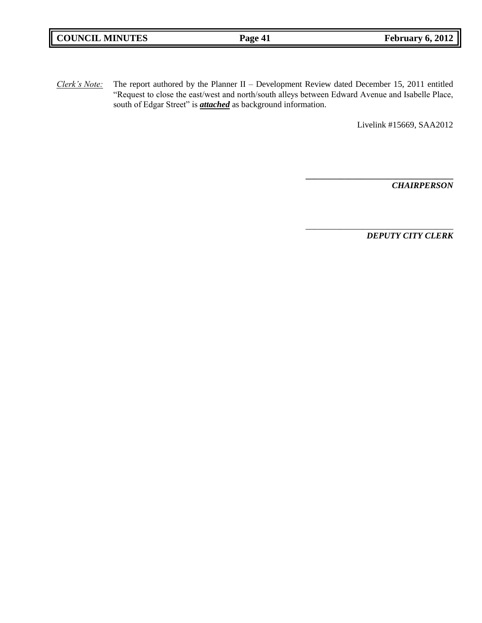| <b>COUNCIL MINUTES</b> | Page 41 | February 6, 2012 |
|------------------------|---------|------------------|
|                        |         |                  |

*Clerk's Note:* The report authored by the Planner II – Development Review dated December 15, 2011 entitled "Request to close the east/west and north/south alleys between Edward Avenue and Isabelle Place, south of Edgar Street" is *attached* as background information.

Livelink #15669, SAA2012

**\_\_\_\_\_\_\_\_\_\_\_\_\_\_\_\_\_\_\_\_\_\_\_\_\_\_\_\_\_\_\_\_\_\_**

\_\_\_\_\_\_\_\_\_\_\_\_\_\_\_\_\_\_\_\_\_\_\_\_\_\_\_\_\_\_\_\_\_\_

*CHAIRPERSON*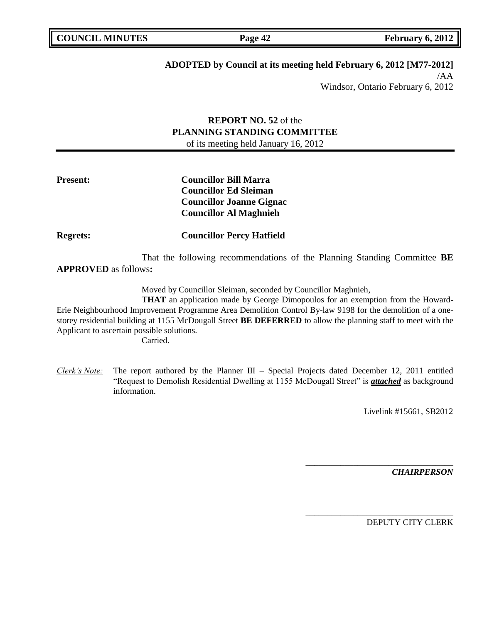**Page 42 February 6, 2012** 

# **ADOPTED by Council at its meeting held February 6, 2012 [M77-2012]**

/AA Windsor, Ontario February 6, 2012

## **REPORT NO. 52** of the **PLANNING STANDING COMMITTEE** of its meeting held January 16, 2012

## **Present: Councillor Bill Marra Councillor Ed Sleiman Councillor Joanne Gignac Councillor Al Maghnieh**

**Regrets: Councillor Percy Hatfield**

That the following recommendations of the Planning Standing Committee **BE APPROVED** as follows**:** 

Moved by Councillor Sleiman, seconded by Councillor Maghnieh,

**THAT** an application made by George Dimopoulos for an exemption from the Howard-Erie Neighbourhood Improvement Programme Area Demolition Control By-law 9198 for the demolition of a onestorey residential building at 1155 McDougall Street **BE DEFERRED** to allow the planning staff to meet with the Applicant to ascertain possible solutions.

Carried.

*Clerk's Note:* The report authored by the Planner III – Special Projects dated December 12, 2011 entitled "Request to Demolish Residential Dwelling at 1155 McDougall Street" is *attached* as background information.

Livelink #15661, SB2012

**\_\_\_\_\_\_\_\_\_\_\_\_\_\_\_\_\_\_\_\_\_\_\_\_\_\_\_\_\_\_\_\_\_\_**

\_\_\_\_\_\_\_\_\_\_\_\_\_\_\_\_\_\_\_\_\_\_\_\_\_\_\_\_\_\_\_\_\_\_

*CHAIRPERSON*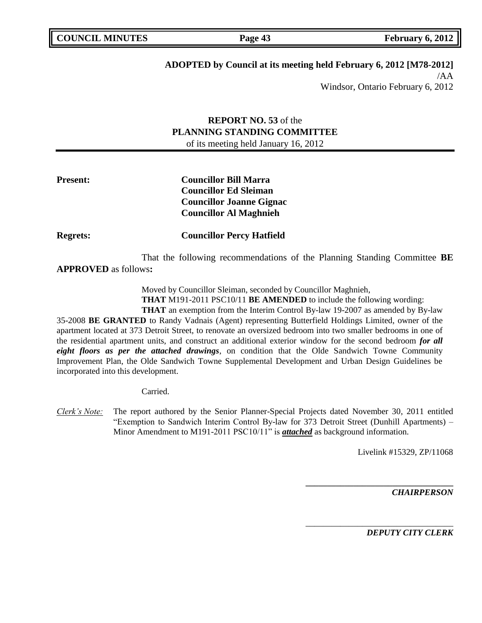# **ADOPTED by Council at its meeting held February 6, 2012 [M78-2012]**

/AA Windsor, Ontario February 6, 2012

## **REPORT NO. 53** of the **PLANNING STANDING COMMITTEE** of its meeting held January 16, 2012

## **Present: Councillor Bill Marra Councillor Ed Sleiman Councillor Joanne Gignac Councillor Al Maghnieh**

**Regrets: Councillor Percy Hatfield**

That the following recommendations of the Planning Standing Committee **BE APPROVED** as follows**:** 

Moved by Councillor Sleiman, seconded by Councillor Maghnieh,

**THAT** M191-2011 PSC10/11 **BE AMENDED** to include the following wording:

**THAT** an exemption from the Interim Control By-law 19-2007 as amended by By-law 35-2008 **BE GRANTED** to Randy Vadnais (Agent) representing Butterfield Holdings Limited, owner of the apartment located at 373 Detroit Street, to renovate an oversized bedroom into two smaller bedrooms in one of the residential apartment units, and construct an additional exterior window for the second bedroom *for all eight floors as per the attached drawings*, on condition that the Olde Sandwich Towne Community Improvement Plan, the Olde Sandwich Towne Supplemental Development and Urban Design Guidelines be incorporated into this development.

Carried.

*Clerk's Note:* The report authored by the Senior Planner-Special Projects dated November 30, 2011 entitled "Exemption to Sandwich Interim Control By-law for 373 Detroit Street (Dunhill Apartments) – Minor Amendment to M191-2011 PSC10/11" is *attached* as background information.

Livelink #15329, ZP/11068

**\_\_\_\_\_\_\_\_\_\_\_\_\_\_\_\_\_\_\_\_\_\_\_\_\_\_\_\_\_\_\_\_\_\_**

\_\_\_\_\_\_\_\_\_\_\_\_\_\_\_\_\_\_\_\_\_\_\_\_\_\_\_\_\_\_\_\_\_\_

*CHAIRPERSON*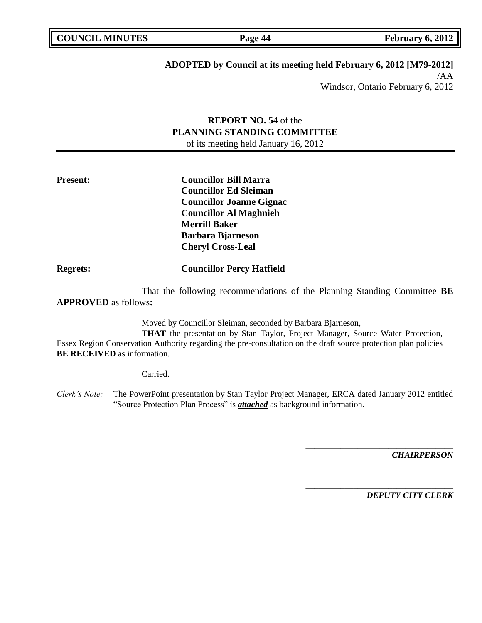**Page 44 February 6, 2012** 

# **ADOPTED by Council at its meeting held February 6, 2012 [M79-2012]**

/AA Windsor, Ontario February 6, 2012

## **REPORT NO. 54** of the **PLANNING STANDING COMMITTEE** of its meeting held January 16, 2012

**Present: Councillor Bill Marra Councillor Ed Sleiman Councillor Joanne Gignac Councillor Al Maghnieh Merrill Baker Barbara Bjarneson Cheryl Cross-Leal**

**Regrets: Councillor Percy Hatfield**

That the following recommendations of the Planning Standing Committee **BE APPROVED** as follows**:** 

Moved by Councillor Sleiman, seconded by Barbara Bjarneson,

**THAT** the presentation by Stan Taylor, Project Manager, Source Water Protection, Essex Region Conservation Authority regarding the pre-consultation on the draft source protection plan policies **BE RECEIVED** as information.

Carried.

*Clerk's Note:* The PowerPoint presentation by Stan Taylor Project Manager, ERCA dated January 2012 entitled "Source Protection Plan Process" is *attached* as background information.

*CHAIRPERSON*

*DEPUTY CITY CLERK*

**\_\_\_\_\_\_\_\_\_\_\_\_\_\_\_\_\_\_\_\_\_\_\_\_\_\_\_\_\_\_\_\_\_\_**

\_\_\_\_\_\_\_\_\_\_\_\_\_\_\_\_\_\_\_\_\_\_\_\_\_\_\_\_\_\_\_\_\_\_